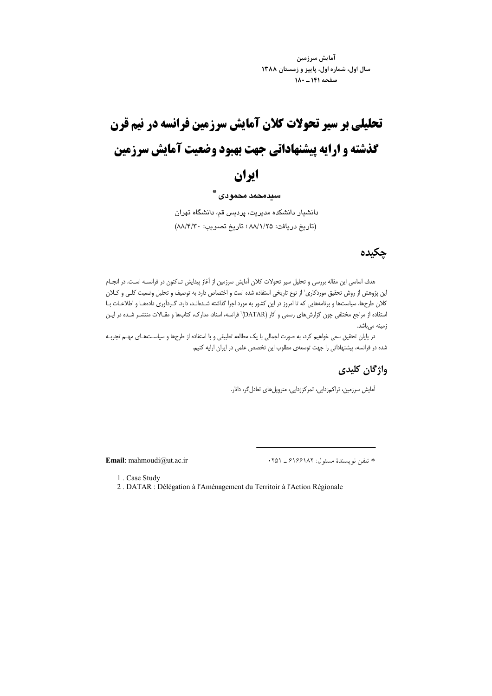آمايش سرزمين سال اول، شماره اول، پاییز و زمستان ۱۳۸۸ صفحه ١٤١ ـ ١٨٠

# تحلیلی بر سیر تحولات کلان آمایش سرزمین فرانسه در نیم قرن گذشته و ارایه پیشنهاداتی جهت بهبود وضعیت آمایش سرزمین

# ايران

#### سندمحمد محموادي \*\*

دانشیار دانشکده مدیریت، پردیس قم، دانشگاه تهران (تاريخ دريافت: ٨٨/١/٢٥ ؛ تاريخ تصويب: ٨٨/٤/٣٠)

### چکیدہ

هدف اساسی این مقاله بررسی و تحلیل سیر تحولات کلان آمایش سرزمین از آغاز پیدایش تـاکنون در فرانسـه اسـت. در انجـام این پژوهش از روش تحقیق موردکاری` از نوع تاریخی استفاده شده است و اختصاص دارد به توصیف و تحلیل وضعیت کلـی و کـلان کلان طرحها، سیاستها و برنامههایی که تا امروز در این کشور به مورد اجرا گذاشته شـدهانـد، دارد. گـردآوری دادههـا و اطلاعـات بـا استفاده از مراجع مختلفی چون گزارشهای رسمی و آثار (DATAR) فرانسه، اسناد، مدارک، کتابها و مقـالات منتشـر شـده در ايـن زمينه مىباشد.

در پایان تحقیق سعی خواهیم کرد، به صورت اجمالی با یک مطالعه تطبیقی و با استفاده از طرحها و سیاسـتهـای مهـم تجربـه شده در فرانسه، پیشنهاداتی را جهت توسعهی مطلوب این تخصص علمی در ایران ارایه کنیم.

#### واژگان کلیدی

آمایش سرزمین، تراکمزدایی، تمرکززدایی، متروپلهای تعادل گر، داتار.

Email: mahmoudi@ut.ac.ir

\* تلفن نويسندة مسئول: ۶۱۶۶۱۸۲ \_ ۲۵۱

2. DATAR : Délégation à l'Aménagement du Territoir à l'Action Régionale

<sup>1.</sup> Case Study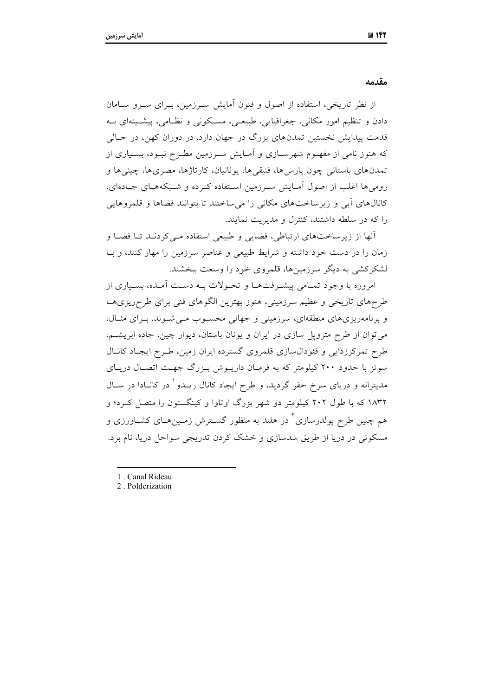مقدمه

از نظر تاریخی، استفاده از اصول و فنون آمایش سـرزمین، بـرای سـرو سـامان دادن و تنظیم امور مکانی، جغرافیایی، طبیعـی، مسـکونی و نظـامی، پیشـینهای بــه قدمت پیدایش نخستین تمدنهای بزرگ در جهان دارد. در دوران کهن، در حـالی که هنوز نامی از مفهـوم شهرسـازی و آمـایش سـرزمین مطـرح نبـود، بسـیاری از تمدنهای باستانی چون پارس۵ما، فنیقیها، یونانیان، کارتاژها، مصریها، چینیها و رومی ها اغلب از اصول آمـایش سـرزمین اسـتفاده کـرده و شـبکههـای جـادهای، کانالهای آبی و زیرساختهای مکانی را میساختند تا بتوانند فضاها و قلمروهایی را که در سلطه داشتند، کنترل و مدیریت نمایند.

آنها از زیرساختهای ارتباطی، فضایی و طبیعی استفاده مـی کردنـد تــا فضــا و زمان را در دست خود داشته و شرایط طبیعی و عناصر سرزمین را مهار کنند، و بـا لشکرکشی به دیگر سرزمینها، قلمروی خود را وسعت ببخشند.

امروزه با وجود تمـامی پیشـرفتهـا و تحـولات بـه دسـت آمـده، بسـیاری از طرحهای تاریخی و عظیم سرزمینی، هنوز بهترین الگوهای فنی برای طرحریزیهـا و برنامهریزیهای منطقهای، سرزمینی و جهانی محسوب مـیشـوند. بـرای مثـال، می توان از طرح متروپل سازی در ایران و یونان باستان، دیوار چین، جاده ابریشـم، طرح تمرکززدایی و فئودال سازی قلمروی گسترده ایران زمین، طـرح ایجـاد کانـال سوئز با حدود ۲۰۰ کیلومتر که به فرمـان داریــوش بـزرگ جهـت اتصـال دریـای مدیترانه و دریای سرخ حفر گردید، و طرح ایجاد کانال ریــدو ْ در کانــادا در ســال ۱۸۳۲ که با طول ۲۰۲ کیلومتر دو شهر بزرگ اوتاوا و کینگستون را متصل کـرد؛ و هم چنین طرح یولدرسازی ٔ در هلند به منظور گسـترش زمـینهـای کشـاورزی و مسکونی در دریا از طریق سدسازی و خشک کردن تدریجی سواحل دریا، نام برد.

- 1. Canal Rideau
- 2. Polderization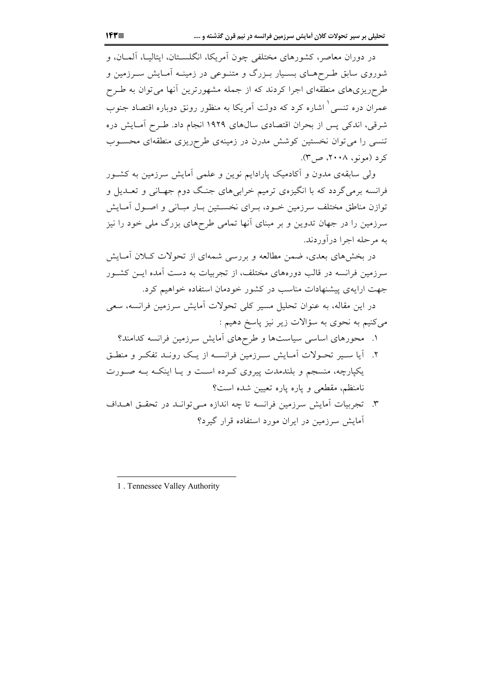در دوران معاصر، کشورهای مختلفی چون آمریکا، انگلســتان، ایتالیــا، آلمــان، و شوروی سابق طـرحهـای بسـیار بـزرگ و متنـوعی در زمینـه آمـایش سـرزمین و طرحریزیهای منطقهای اجرا کردند که از جمله مشهورترین آنها می توان به طـرح عمران دره تنسی ٔ اشاره کرد که دولت آمریکا به منظور رونق دوباره اقتصاد جنوب شرقی، اندکی پس از بحران اقتصادی سالهای ۱۹۲۹ انجام داد. طـرح آمـایش دره تنسی را می توان نخستین کوشش مدرن در زمینهی طرحریزی منطقهای محسـوب کرد (مونو، ۲۰۰۸، ص۳).

ولی سابقهی مدون و آکادمیک پارادایم نوین و علمی آمایش سرزمین به کشـور فرانسه برمی گردد که با انگیزهی ترمیم خرابیهای جنگ دوم جهـانی و تعــدیل و توازن مناطق مختلف سرزمین خـود، بـرای نخسـتین بـار مبـانی و اصـول آمـایش سرزمین را در جهان تدوین و بر مبنای آنها تمامی طرحهای بزرگ ملی خود را نیز به مرحله اجرا در آوردند.

در بخشهای بعدی، ضمن مطالعه و بررسی شمهای از تحولات کـلان آمـایش سرزمین فرانسه در قالب دورههای مختلف، از تجربیات به دست آمده ایــن کشــور جهت ارایهی پیشنهادات مناسب در کشور خودمان استفاده خواهیم کرد. در این مقاله، به عنوان تحلیل مسیر کلی تحولات آمایش سرزمین فرانسه، سعی

میکنیم به نحوی به سؤالات زیر نیز پاسخ دهیم :

- ۱. محورهای اساسی سیاستها و طرحهای آمایش سرزمین فرانسه کدامند؟
- ۲. آیا سبیر تحـولات آمـایش سـرزمین فرانسـه از یـک رونـد تفکـر و منطـق یکپارچه، منسجم و بلندمدت پیروی کـرده اسـت و یـا اینکـه بــه صـورت نامنظم، مقطعی و یاره یاره تعیین شده است؟
- ۳. تجربیات آمایش سرزمین فرانسه تا چه اندازه مـی توانــد در تحقــق اهــداف آمایش سرزمین در ایران مورد استفاده قرار گیرد؟

<sup>1.</sup> Tennessee Valley Authority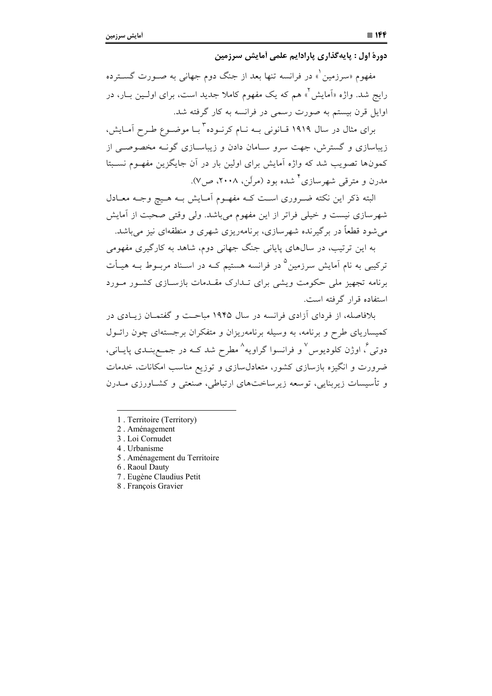دورهٔ اول : پایه گذاری پارادایم علمی آمایش سرزمین

مفهوم «سرزمین ْ» در فرانسه تنها بعد از جنگ دوم جهانی به صـورت گســترده رايج شد. واژه «اَمايش ٌ» هم كه يک مفهوم کاملا جديد است، براي اولـين بـار، در اوایل قرن بیستم به صورت رسمی در فرانسه به کار گرفته شد.

برای مثال در سال ۱۹۱۹ قیانونی بیه نیام کرنیوده ٔ بیا موضیوع طبرح آمیایش، زیباسازی و گسترش، جهت سرو سـامان دادن و زیباسـازی گونــه مخصوصــی از کمونها تصویب شد که واژه آمایش برای اولین بار در آن جایگزین مفهـوم نسـبتا مدرن و مترقب شهرسازی <sup>۴</sup> شده بود (مرلّن، ۲۰۰۸، ص۷).

البته ذکر این نکته ضـروری اسـت کـه مفهـوم آمـایش بـه هـیچ وجـه معـادل شهرسازی نیست و خیلی فراتر از این مفهوم میباشد. ولی وقتی صحبت از آمایش می شود قطعاً در بر گیرنده شهرسازی، برنامهریزی شهری و منطقهای نیز می باشد.

به این ترتیب، در سالهای پایانی جنگ جهانی دوم، شاهد به کارگیری مفهومی ترکیبی به نام آمایش سرزمین<sup>0</sup> در فرانسه هستیم کــه در اســناد مربــوط بــه هیــأت برنامه تجهیز ملی حکومت ویشی برای تـدارک مقـدمات بازسـازی کشـور مـورد استفاده قرار گرفته است.

بلافاصله، از فردای آزادی فرانسه در سال ۱۹۴۵ میاحت و گفتمـان زیـادی در کمیساریای طرح و برنامه، به وسیله برنامهریزان و متفکران برجستهای چون رائـول دوتی <sup>¢</sup> اوژن کلودیوس ٌ و فرانسوا گراویه <sup>^</sup> مطرح شد کـه در جمـعبنــدی پایــانی، ضرورت و انگیزه بازسازی کشور، متعادل سازی و توزیع مناسب امکانات، خدمات و تأسیسات زیربنایی، توسعه زیرساختهای ارتباطی، صنعتی و کشــاورزی مــدرن

- 1. Territoire (Territory)
- 2. Aménagement
- 3. Loi Cornudet
- 4. Urbanisme
- 5. Aménagement du Territoire
- 6. Raoul Dauty
- 7. Eugène Claudius Petit
- 8. François Gravier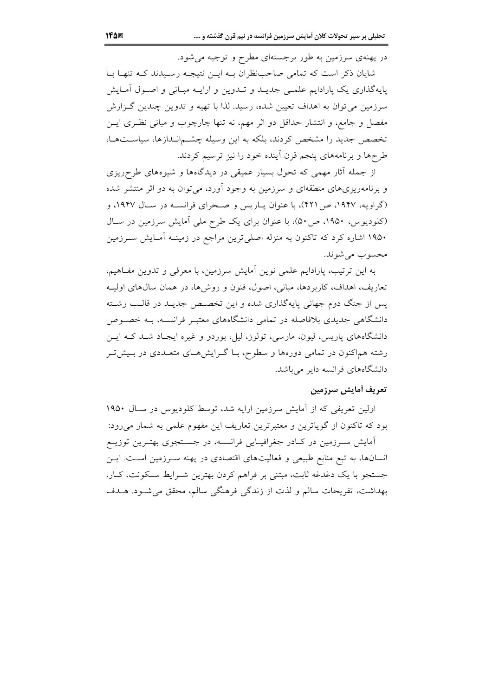در پهنهی سرزمین به طور برجستهای مطرح و توجیه می شود.

شایان ذکر است که تمامی صاحب ظران بـه ایــن نتیجـه رسـیدند کــه تنهـا بــا پایهگذاری یک پارادایم علمی جدیـد و تـدوین و ارایـه مبـانی و اصـول آمـایش سرزمین می توان به اهداف تعیین شده، رسید. لذا با تهیه و تدوین چندین گـزارش مفصل و جامع، و انتشار حداقل دو اثر مهم، نه تنها چارچوب و مبانی نظـری ایــن تخصص جدید را مشخص کردند، بلکه به این وسیله چشمانـدازها، سیاسـتهـا، طرحها و برنامههای پنجم قرن آینده خود را نیز ترسیم کردند.

از جمله آثار مهمی که تحول بسیار عمیقی در دیدگاهها و شیوههای طرحریزی و برنامهریزیهای منطقهای و سرزمین به وجود آورد، میتوان به دو اثر منتشر شده (گراویه، ۱۹۴۷، ص ۴۲۱)، با عنوان پاریس و صحرای فرانسـه در سـال ۱۹۴۷، و (کلودیوس، ۱۹۵۰، ص۳۰)، با عنوان برای یک طرح ملی آمایش سرزمین در سال ۱۹۵۰ اشاره کرد که تاکنون به منزله اصلی ترین مراجع در زمینــه آمـایش ســرزمین محسوب مي شوند.

به این ترتیب، پارادایم علمی نوین آمایش سرزمین، با معرفی و تدوین مفـاهیم، تعاريف، اهداف، كاربردها، مباني، اصول، فنون و روش۵ما، در همان سال0هاي اوليـه یس از جنگ دوم جهانی پایهگذاری شده و این تخصص جدیـد در قالـب رشـته دانشگاهی جدیدی بلافاصله در تمامی دانشگاههای معتبـر فرانســه، بــه خصــوص دانشگاههای پاریس، لیون، مارسی، تولوز، لیل، بوردو و غیره ایجـاد شــد کــه ایــن رشته هماکنون در تمامی دورهها و سطوح، بـا گــرایشهــای متعــددی در بــیشتــر دانشگاههای فرانسه دایر می باشد.

## تعريف أمايش سرزمين

اولین تعریفی که از آمایش سرزمین ارایه شد، توسط کلودیوس در سـال ۱۹۵۰ بود که تاکنون از گویاترین و معتبرترین تعاریف این مفهوم علمی به شمار میرود: آمایش سرزمین در کـادر جغرافیـایی فرانسـه، در جسـتجوی بهتـرین توزیـع انسانها، به تبع منابع طبیعی و فعالیتهای اقتصادی در پهنه سـرزمین اسـت. ایـن جستجو با یک دغدغه ثابت، مبتنی بر فراهم کردن بهترین شـرایط سـکونت، کـار،

بهداشت، تفریحات سالم و لذت از زندگی فرهنگی سالم، محقق می شـود. هـدف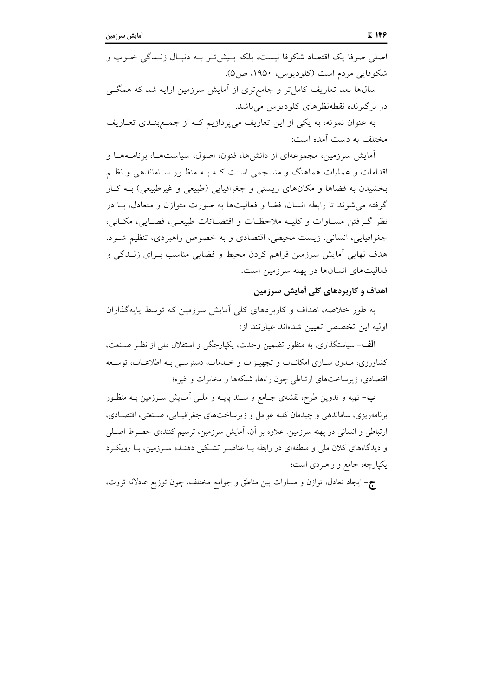اصلي صرفا يک اقتصاد شکوفا نيست، بلکه بـيشتر بـه دنبـال زنـدگي خــوب و شکوفایی مردم است (کلودیوس، ۱۹۵۰، ص۵). سال@ها بعد تعاریف کامل تر و جامع تری از آمایش سرزمین ارایه شد که همگـی در برگیرنده نقطهنظرهای کلودیوس میباشد.

به عنوان نمونه، به یکی از این تعاریف میپردازیم کـه از جمـعبنـدی تعــاریف مختلف به دست آمده است:

آمایش سرزمین، مجموعهای از دانشها، فنون، اصول، سیاستها، برنامـههـا و اقدامات و عملیات هماهنگ و منسجمی است کـه بـه منظـور سـاماندهی و نظـم بخشیدن به فضاها و مکانهای زیستی و جغرافیایی (طبیعی و غیرطبیعی) بـه کـار گرفته می شوند تا رابطه انسان، فضا و فعالیتها به صورت متوازن و متعادل، بـا در نظر گرفتن مسـاوات و کليــه ملاحظـات و اقتضــائات طبيعــي، فضــايي، مکــاني، جغرافیایی، انسانی، زیست محیطی، اقتصادی و به خصوص راهبردی، تنظیم شـود. هدف نهایی آمایش سرزمین فراهم کردن محیط و فضایی مناسب بـرای زنــدگی و فعالیتهای انسانها در یهنه سرزمین است.

#### اهداف و کاربردهای کلی آمایش سرزمین

به طور خلاصه، اهداف و کاربردهای کلی آمایش سرزمین که توسط پایهگذاران اوليه اين تخصص تعيين شدهاند عبارتند از:

**الف**-سیاستگذاری، به منظور تضمین وحدت، یکپارچگی و استقلال مل<sub>ی</sub> از نظـر صـنعت، کشاورزی، مـدرن سـازی امکانـات و تجهیـزات و خـدمات، دسترسـی بـه اطلاعـات، توسـعه اقتصادی، زیرساختهای ارتباطی چون راهها، شبکهها و مخابرات و غیره؛

ب- تهیه و تدوین طرح، نقشهی جـامع و سـند پایــه و ملــی اَمــایش ســرزمین بــه منظــور برنامهریزی، ساماندهی و چیدمان کلیه عوامل و زیرساختهای جغرافیـایی، صـنعتی، اقتصـادی، ارتباطی و انسانی در یهنه سرزمین. علاوه بر آن، آمایش سرزمین، ترسیم کنندهی خطـوط اصـلی و دیدگاههای کلان ملی و منطقهای در رابطه بـا عناصـر تشـکیل دهنـده سـرزمین، بـا رویکـرد یکپارچه، جامع و راهبردی است؛

ج- ایجاد تعادل، توازن و مساوات بین مناطق و جوامع مختلف، چون توزیع عادلانه ثروت،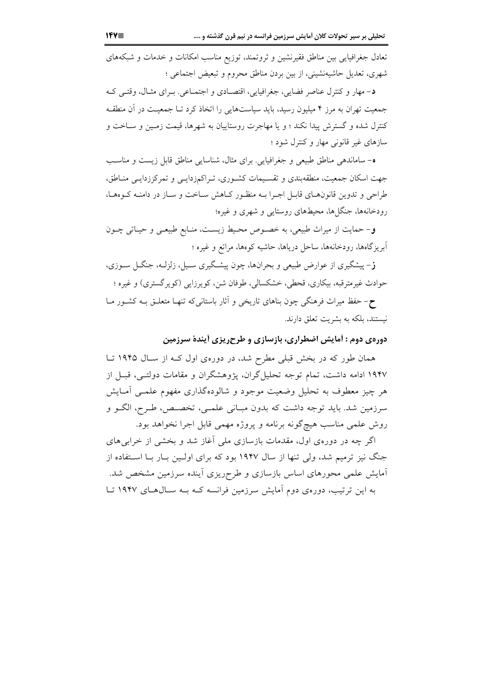تعادل جغرافیایی بین مناطق فقیرنشین و ثروتمند، توزیع مناسب امکانات و خدمات و شبکههای شهري، تعديل حاشيهنشيني، از بين بردن مناطق محروم و تبعيض اجتماعي ؛

د- مهار و كنترل عناصر فضايي، جغرافيايي، اقتصـادي و اجتمـاعي. بـراي مثـال، وقتـي كـه جمعیت تهران به مرز ۴ میلیون رسید، باید سیاستهایی را اتخاذ کرد تـا جمعیـت در آن منطقـه کنترل شده و گسترش پیدا نکند ؛ و یا مهاجرت روستاییان به شهرها، قیمت زمـین و سـاخت و سازهای غیر قانونی مهار و کنترل شود ؛

ه- ساماندهی مناطق طبیعی و جغرافیایی. برای مثال، شناسایی مناطق قابل زیست و مناسب جهت اسکان جمعیت، منطقهبندی و تقسیمات کشـوری، تـراکمزدایـبی و تمرکززدایـبی منـاطق، طراحی و تدوین قانون های قابـل اجـرا بـه منظـور کـاهش سـاخت و سـاز در دامنـه کـوههـا، رودخانهها، جنگلها، محیطهای روستایی و شهری و غیره؛

و– حمایت از میراث طبیعی، به خصـوص محـیط زیسـت، منـابع طبیعـی و حیـاتی چــون آبریزگاهها، رودخانهها، ساحل دریاها، حاشیه کوهها، مراتع و غیره ؛

**ز**– پیشگیری از عوارض طبیعی و بحرانها، چون پیشگیری سـیل، زلزلـه، جنگــل ســوزی، حوادث غیرمترقبه، بیکاری، قحطی، خشکسالی، طوفان شن، کویرزایی (کویرگستری) و غیره ؛

ح-حفظ میراث فرهنگی چون بناهای تاریخی و آثار باستانی که تنهـا متعلــق بــه کشــور مــا نیستند، بلکه به بشریت تعلق دارند.

دورهی دوم : آمایش اضطراری، بازسازی و طرحریزی آیندهٔ سرزمین

همان طور که در بخش قبلی مطرح شد، در دورهی اول کـه از سـال ۱۹۴۵ تـا ۱۹۴۷ ادامه داشت، تمام توجه تحلیل گران، پژوهشگران و مقامات دولتـی، قبـل از هر چيز معطوف به تحليل وضعيت موجود و شالودهگذاري مفهوم علمـي آمـايش سرزمین شد. باید توجه داشت که بدون مبـانی علمـی، تخصـص، طـرح، الگــو و روش علمي مناسب هيچگونه برنامه و پروژه مهمي قابل اجرا نخواهد بود.

اگر چه در دورهی اول، مقدمات بازسازی ملی آغاز شد و بخشی از خرابی های جنگ نیز ترمیم شد، ولی تنها از سال ۱۹۴۷ بود که برای اولـین بـار بـا اسـتفاده از آمایش علمی محورهای اساس بازسازی و طرحریزی اَینده سرزمین مشخص شد. به این ترتیب، دورهی دوم آمایش سرزمین فرانسه کـه بـه سـال(هـای ۱۹۴۷ تـا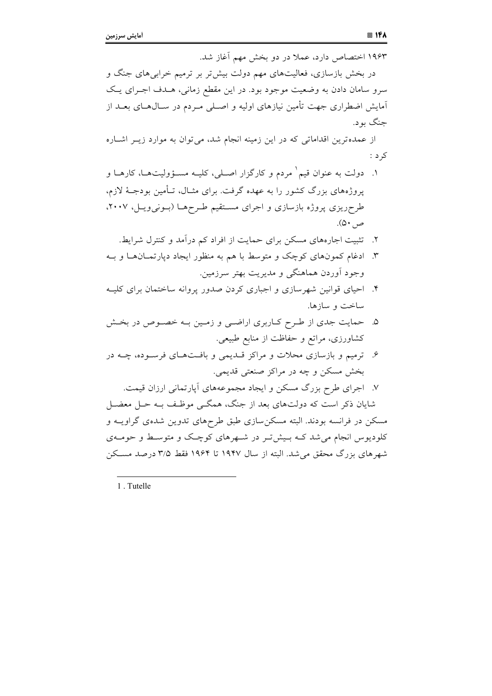۱۹۶۳ اختصاص دارد، عملاً در دو بخش مهم آغاز شد. در بخش بازسازی، فعالیتهای مهم دولت بیش تر بر ترمیم خرابی های جنگ و سرو سامان دادن به وضعیت موجود بود. در این مقطع زمانی، هـدف اجـرای یـک آمایش اضطراری جهت تأمین نیازهای اولیه و اصـلی مـردم در ســال۱صای بعــد از جنگ يو د.

از عمدهترین اقداماتی که در این زمینه انجام شد، می توان به موارد زیــر اشــاره ک د :

- ۱. دولت به عنوان قیم` مردم و کارگزار اصـلی، کلیــه مسـؤولیتهــا، کارهــا و یروژههای بزرگ کشور را به عهده گرفت. برای مثـال، تـأمین بودجـهٔ لازم، طرحریزی پروژه بازسازی و اجرای مستقیم طرحها (بونیویل، ۲۰۰۷، ص ۵۰).
	- ۲. تثبیت اجارههای مسکن برای حمایت از افراد کم درآمد و کنترل شرایط.
- ۳. ادغام کمونهای کوچک و متوسط با هم به منظور ایجاد دپارتمـانهـا و بـه وجود آوردن هماهنگی و مدیریت بهتر سرزمین.
- ۴. احیای قوانین شهرسازی و اجباری کردن صدور پروانه ساختمان برای کلیــه ساخت و سازها.
- ۵. حمایت جدی از طرح کـاربری اراضـی و زمـین بــه خصـوص در بخـش کشاورزی، مراتع و حفاظت از منابع طبیعی.
- ۶. ترمیم و بازسازی محلات و مراکز قــدیمی و بافـتهـای فرســوده، چــه در بخش مسکن و چه در مراکز صنعتی قدیمی.
	- ۷. اجرای طرح بزرگ مسکن و ایجاد مجموعههای آپارتمانی ارزان قیمت.

شایان ذکر است که دولتهای بعد از جنگ، همگــی موظـف بــه حــل معضــل مسکن در فرانسه بودند. البته مسکن سازی طبق طرحهای تدوین شدهی گراویــه و کلودیوس انجام می شد کـه بـیش تـر در شـهرهای کوچـک و متوسـط و حومـهی شهرهای بزرگ محقق می شد. البته از سال ۱۹۴۷ تا ۱۹۶۴ فقط ۳/۵ درصد مسکن

1. Tutelle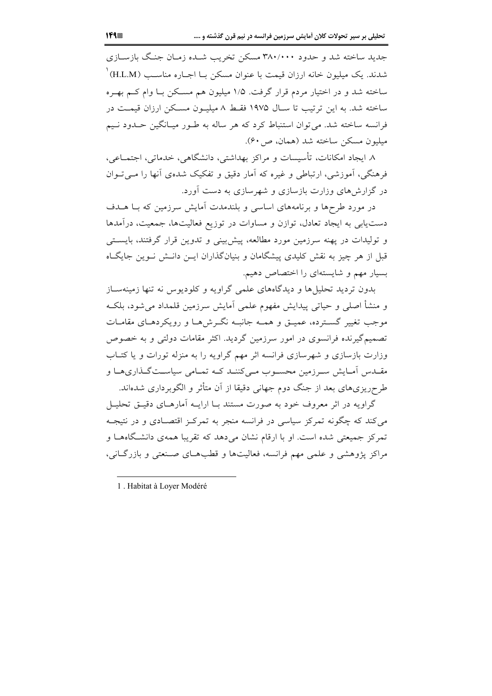جدید ساخته شد و حدود ۳۸۰/۰۰۰ مسکن تخریب شـده زمـان جنـگ بازسـازی شدند. یک میلیون خانه ارزان قیمت با عنوان مسکن بــا اجــاره مناســب (H.L.M)<sup>۱</sup> ساخته شد و در اختیار مردم قرار گرفت. ۱/۵ میلیون هم مسکن بـا وام کـم بهـره ساخته شد. به این ترتیب تا سـال ۱۹۷۵ فقـط ۸ میلیـون مسـکن ارزان قیمـت در فرانسه ساخته شد. می توان استنباط کرد که هر ساله به طـور میـانگین حـدود نـیم میلیون مسکن ساخته شد (همان، ص ۶۰).

٨ ايجاد امكانات، تأسيسات و مراكز بهداشتي، دانشگاهي، خدماتي، اجتمـاعي، فرهنگی، آموزشی، ارتباطی و غیره که آمار دقیق و تفکیک شدهی آنها را مـیتـوان در گزارش های وزارت بازسازی و شهرسازی به دست آورد.

در مورد طرحها و برنامههای اساسی و بلندمدت آمایش سرزمین که بـا هــدف دست یابی به ایجاد تعادل، توازن و مساوات در توزیع فعالیتها، جمعیت، درآمدها و تولیدات در یهنه سرزمین مورد مطالعه، پیش بینی و تدوین قرار گرفتند، بایستی قبل از هر چیز به نقش کلیدی پیشگامان و بنیانگذاران ایــن دانــش نــوین جایگــاه بسیار مهم و شایستهای را اختصاص دهیم.

بدون تردید تحلیل ها و دیدگاههای علمی گراویه و کلودیوس نه تنها زمینهسـاز و منشأ اصلي و حياتي پيدايش مفهوم علمي آمايش سرزمين قلمداد مي شود، بلكـه موجب تغییر گسترده، عمیــق و همــه جانبــه نگــرشهــا و رویکردهــای مقامــات تصمیمگیرنده فرانسوی در امور سرزمین گردید. اکثر مقامات دولتی و به خصوص وزارت بازسازی و شهرسازی فرانسه اثر مهم گراویه را به منزله تورات و یا کتـاب مقــدس اَمــايش ســرزمين محســوب مــي كننــد كــه تمــامي سياســتگــذاريهــا و طرحریزیهای بعد از جنگ دوم جهانی دقیقا از آن متأثر و الگوبرداری شدهاند.

گراویه در اثر معروف خود به صورت مستند بـا ارایــه آمارهــای دقیــق تحلیــل می کند که چگونه تمرکز سیاسی در فرانسه منجر به تمرکـز اقتصـادی و در نتیجـه تمرکز جمیعتی شده است. او با ارقام نشان می دهد که تقریبا همهی دانشگاههـا و مراكز يژوهشي و علمي مهم فرانسه، فعاليتها و قطبهـاي صـنعتي و بازرگـاني،

1. Habitat à Lover Modéré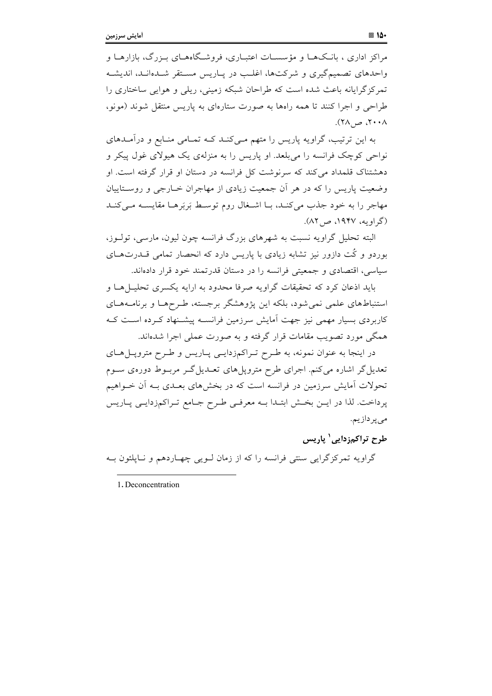مراکز اداری ، بانـکـهـا و مؤسسـات اعتبـاری، فروشـگاههـای بـزرگ، بازارهـا و واحدهای تصمیم گیری و شرکتها، اغلب در پیاریس مستقر شیدهانید، اندیشیه تمرکز گرایانه باعث شده است که طراحان شبکه زمینی، ریلی و هوایی ساختاری را طراحی و اجرا کنند تا همه رامها به صورت ستارمای به پاریس منتقل شوند (مونو،  $\wedge \cdots \wedge \neg \wedge \wedge$ .

به این ترتیب، گراویه پاریس را متهم مـیکنـد کـه تمـامی منـابع و درآمـدهای نواحی کوچک فرانسه را می بلعد. او پاریس را به منزلهی یک هیولای غول پیکر و دهشتناک قلمداد می کند که سرنوشت کل فرانسه در دستان او قرار گرفته است. او وضعیت پاریس را که در هر آن جمعیت زیادی از مهاجران خـارجی و روسـتاییان مهاجر را به خود جذب می کنـد، بـا اشـغال روم توسـط بَربَرهـا مقايسـه مـی کنـد (گراویه، ۱۹۴۷، ص۲۸).

البته تحلیل گراویه نسبت به شهرهای بزرگ فرانسه چون لیون، مارسی، تولـوز، بوردو و کُت دازور نیز تشابه زیادی با پاریس دارد که انحصار تمامی قــدرتهــای سیاسی، اقتصادی و جمعیتی فرانسه را در دستان قدرتمند خود قرار دادهاند.

باید اذعان کرد که تحقیقات گراویه صرفا محدود به ارایه یکسری تحلیل هیا و استنباطهای علمی نمیشود، بلکه این پژوهشگر برجسته، طـرحهـا و برنامـههـای کاربردی بسیار مهمی نیز جهت آمایش سرزمین فرانســه پیشــنهاد کــرده اســت کــه همگی مورد تصویب مقامات قرار گرفته و به صورت عملی اجرا شدهاند.

در اینجا به عنوان نمونه، به طـرح تـراکم;دایـی پـاریس و طـرح متروپـل۱عـای تعدیل گر اشاره می کنم. اجرای طرح مترویل های تعـدیل گــر مربــوط دورهی ســوم تحولات آمایش سرزمین در فرانسه است که در بخشهای بعـدی بـه آن خـواهیم پرداخت. لذا در ایـن بخـش ابتـدا بـه معرفـی طـرح جـامع تـراکمزدایـی پـاریس مىپردازيم.

طرح تراکم; دایی' پاریس

گراویه تمرکز گرایی سنتی فرانسه را که از زمان لـویی چهـاردهم و نـاپلئون بـه

1. Deconcentration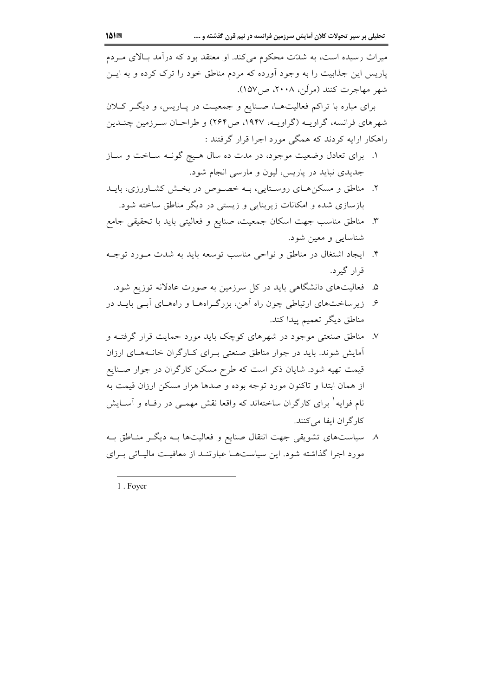میراث رسیده است، به شدّت محکوم می کند. او معتقد بود که درآمد بـالای مـردم پاریس این جذابیت را به وجود آورده که مردم مناطق خود را ترک کرده و به ایــن شهر مهاجرت کنند (مرکن، ۲۰۰۸، ص/۱۵۷).

برای مباره با تراکم فعالیتها، صنایع و جمعیت در پـاریس، و دیگـر کـلان شهرهای فرانسه، گراویـه (گراویـه، ۱۹۴۷، ص۲۶۴) و طراحـان سـرزمین چنـدین راهکار ارایه کردند که همگی مورد اجرا قرار گرفتند :

- ۱. برای تعادل وضعیت موجود، در مدت ده سال هـیچ گونـه سـاخت و سـاز جدیدی نباید در پاریس، لیون و مارسی انجام شود.
- ۲. مناطق و مسکن های روستایی، بـه خصوص در بخـش کشـاورزی، بایـد بازسازی شده و امکانات زیربنایی و زیستی در دیگر مناطق ساخته شود.
- ٣. مناطق مناسب جهت اسكان جمعيت، صنايع و فعاليتي بايد با تحقيقي جامع شناسایی و معین شود.
- ۴. ايجاد اشتغال در مناطق و نواحي مناسب توسعه بايد به شدت مـورد توجـه قرار گیرد.
	- ۵. فعالیتهای دانشگاهی باید در کل سرزمین به صورت عادلانه توزیع شود.
- ۶. زیرساختهای ارتباطی چون راه آهن، بزرگ اههـا و راههـای آبـی بایــد در مناطق دیگر تعمیم پیدا کند.
- ۷. مناطق صنعتی موجود در شهرهای کوچک باید مورد حمایت قرار گرفتـه و آمایش شوند. باید در جوار مناطق صنعتی بـرای کـارگران خانـههـای ارزان قیمت تهیه شود. شایان ذکر است که طرح مسکن کارگران در جوار صـنایع از همان ابتدا و تاکنون مورد توجه بوده و صدها هزار مسکن ارزان قیمت به نام فوایه<sup>۱</sup> برای کارگران ساختهاند که واقعا نقش مهمــی در رفــاه و آســایش کار گر ان ایفا می کنند.
- ٨. سیاستهای تشویقی جهت انتقال صنایع و فعالیتها بـه دیگـر منـاطق بـه مورد اجرا گذاشته شود. این سیاستها عبارتنـد از معافیـت مالیـاتی بـرای

1. Foyer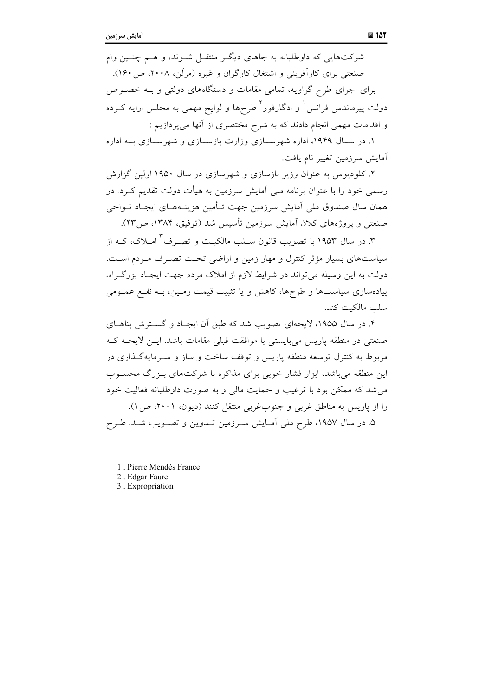شرکتهایی که داوطلبانه به جاهای دیگر منتقـل شـوند، و هـم چنـین وام صنعتی برای کارآفرینی و اشتغال کارگران و غیره (مرکن، ۲۰۰۸، ص ۱۶۰). برای اجرای طرح گراویه، تمامی مقامات و دستگاههای دولتی و بـه خصـوص دولت پیرماندس فرانس <sup>۱</sup> و ادگارفور<sup>۲</sup> طرحها و لوایح مهمی به مجلس ارایه کـرده و اقدامات مهمی انجام دادند که به شرح مختصری از آنها می پردازیم :

۱. در سـال ۱۹۴۹، اداره شهرسـازی وزارت بازسـازی و شهرسـازی بــه اداره آمايش سرزمين تغيير نام يافت.

۲. کلودیوس به عنوان وزیر بازسازی و شهرسازی در سال ۱۹۵۰ اولین گزارش رسمی خود را با عنوان برنامه ملی آمایش سرزمین به هیأت دولت تقدیم کـرد. در همان سال صندوق ملي آمايش سرزمين جهت تـأمين هزينـههـاي ايجـاد نــواحي صنعتی و یروژههای کلان آمایش سرزمین تأسیس شد (توفیق، ۱۳۸۴، ص۲۳).

۳. در سال ۱۹۵۳ با تصویب قانون ســلب مالکیــت و تصــرف<sup>۳</sup> امــلاک، کــه از سیاستهای بسیار مؤثر کنترل و مهار زمین و اراضی تحت تصـرف مـردم اسـت. دولت به این وسیله می تواند در شرایط لازم از املاک مردم جهت ایجـاد بزرگـراه، پیادهسازی سیاستها و طرحها، کاهش و یا تثبیت قیمت زمـین، بـه نفـع عمـومی سلب مالكىت كند.

۴. در سال ۱۹۵۵، لایحهای تصویب شد که طبق آن ایجـاد و گسـترش بناهـای صنعتی در منطقه پاریس میبایستی با موافقت قبلی مقامات باشد. ایـن لایحـه کـه مربوط به کنترل توسعه منطقه پاریس و توقف ساخت و ساز و سـرمایهگـذاری در این منطقه می باشد، ابزار فشار خوبی برای مذاکره با شرکتهای بـزرگ محســوب می شد که ممکن بود با ترغیب و حمایت مالی و به صورت داوطلبانه فعالیت خود را از پاریس به مناطق غربی و جنوبغربی منتقل کنند (دیون، ۲۰۰۱، ص ۱). ۵. در سال ۱۹۵۷، طرح ملی آمـایش سـرزمین تــدوین و تصــویب شــد. طــرح

<sup>1</sup> Pierre Mendès France

<sup>2.</sup> Edgar Faure

<sup>3.</sup> Expropriation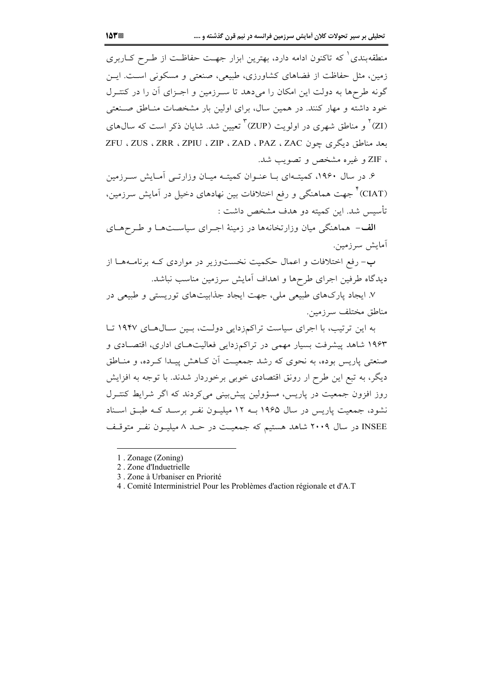منطقهبندی <sup>۱</sup> که تاکنون ادامه دارد، بهترین ابزار جهـت حفاظـت از طـرح کــاربری زمین، مثل حفاظت از فضاهای کشاورزی، طبیعی، صنعتی و مسکونی است. ایس گونه طرحها به دولت این امکان را میدهد تا سـرزمین و اجـزای آن را در کنتـرل خود داشته و مهار کنند. در همین سال، برای اولین بار مشخصات منـاطق صـنعتی (ZI) ٔ و مناطق شهری در اولویت (ZUP) ٌ تعیین شد. شایان ذکر است که سال۱های ىعد مناطق دىگرى جون ZAC ، ZAD ، PAZ ، ZAC ، ZEU ، ZUS ، ZRR ، ZPIU ، ZIF و غيره مشخص و تصويب شد.

۶. در سال ۱۹۶۰، کمیتهای بـا عنـوان کمیتـه میـان وزارتـی آمـایش سـرزمین (CIAT)<sup>۴</sup> جهت هماهنگی و رفع اختلافات بین نهادهای دخیل در آمایش سرزمین، تأسيس شد. اين كميته دو هدف مشخص داشت :

الف- هماهنگه ٍ میان وزارتخانهها در زمینهٔ اجـرای سیاسـتهـا و طـرحهـای آمايش سرزمين.

ب- رفع اختلافات و اعمال حکمیت نخستوزیر در مواردی کـه برنامـههـا از دیدگاه طرفین اجرای طرحها و اهداف آمایش سرزمین مناسب نباشد.

۷. ایجاد پارکهای طبیعی ملی، جهت ایجاد جذابیتهای توریستی و طبیعی در مناطق مختلف سرزمين.

به این ترتیب، با اجرای سیاست تراکمزدایی دولت، بین سال های ۱۹۴۷ تا ۱۹۶۳ شاهد پیشرفت بسیار مهمی در تراکمزدایی فعالیتهـای اداری، اقتصـادی و صنعتی پاریس بوده، به نحوی که رشد جمعیت اَن کـاهش پیـدا کـرده، و منــاطق دیگر، به تبع این طرح ار رونق اقتصادی خوبی برخوردار شدند. با توجه به افزایش روز افزون جمعیت در پاریس، مسؤولین پیش بینی می کردند که اگر شرایط کنتـرل نشود، جمعیت پاریس در سال ۱۹۶۵ بــه ۱۲ میلیــون نفــر برســد کــه طبــق اســناد INSEE در سال ۲۰۰۹ شاهد هستیم که جمعیت در حـد ۸ میلیـون نفـر متوقـف

<sup>1.</sup> Zonage (Zoning)

<sup>2</sup> Zone d'Induetrielle

<sup>3.</sup> Zone à Urbaniser en Priorité

<sup>4.</sup> Comité Interministriel Pour les Problèmes d'action régionale et d'A.T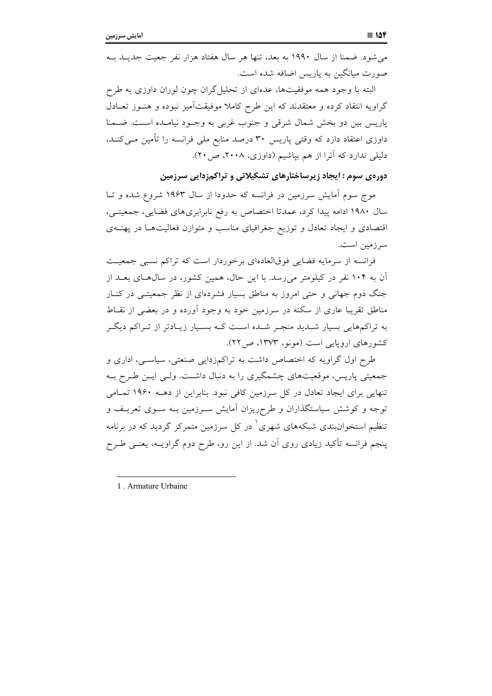می شود. ضمنا از سال ۱۹۹۰ به بعد، تنها هر سال هفتاد هزار نفر جعیت جدیــد بــه صورت میانگین به پاریس اضافه شده است.

البته با وجود همه موفقیتها، عدمای از تحلیلگران چون لوران داوزی به طرِح گراویه انتقاد کرده و معتقدند که این طرح کاملا موفیقتآمیز نبوده و هنـوز تعـادل پاریس بین دو بخش شمال شرقی و جنوب غربی به وجــود نیامــده اســت. ضــمنا داوزی اعتقاد دارد که وقتی پاریس ۳۰ درصد منابع ملی فرانسه را تأمین مــیکنــد، دلیلی ندارد که آنرا از هم بپاشیم (داوزی، ۲۰۰۸، ص۲۰).

دورهی سوم : ایجاد زیرساختارهای تشکیلاتی و تراکمزدایی سرزمین

موج سوم آمایش سرزمین در فرانسه که حدودا از سال ۱۹۶۳ شروع شده و تـا سال ۱۹۸۰ ادامه پیدا کرد، عمدتا اختصاص به رفع نابرابریهای فضایی، جمعیتـی، اقتصادی و ایجاد تعادل و توزیع جغرافیای مناسب و متوازن فعالیتهـا در پهنــهی سرزمين است.

فرانسه از سرمایه فضایی فوقالعادهای برخوردار است که تراکم نسبی جمعیت آن به ۱۰۴ نفر در کیلومتر می رسد. با این حال، همین کشور، در سال هـای بعـد از جنگ دوم جهانی و حتی امروز به مناطق بسیار فشردهای از نظر جمعیتــی در کنــار مناطق تقریبا عاری از سکنه در سرزمین خود به وجود آورده و در بعضی از نقــاط به تراکمهایی بسیار شـدید منجـر شـده اسـت کـه بسـیار زیـادتر از تـراکم دیگـر کشورهای اروپایی است (مونو، ۱۳۷۳، ص۲۲).

طرح اول گراویه که اختصاص داشت به تراکمزدایی صنعتی، سیاسی، اداری و جمعیتی پاریس، موقعیتهای چشمگیری را به دنبال داشت. ولـی ایــن طــرح بــه تنهایی برای ایجاد تعادل در کل سرزمین کافی نبود. بنابراین از دهــه ۱۹۶۰ تمـامی توجه و کوشش سیاستگذاران و طرحریزان آمایش سـرزمین بـه سـوی تعریـف و تنظیم استخوانبندی شبکههای شهری<sup>۱</sup> در کل سرزمین متمرکز گردید که در برنامه ینجم فرانسه تأکید زیادی روی آن شد. از این رو، طرح دوم گراویــه، یعنــی طــرح

1. Armature Urbaine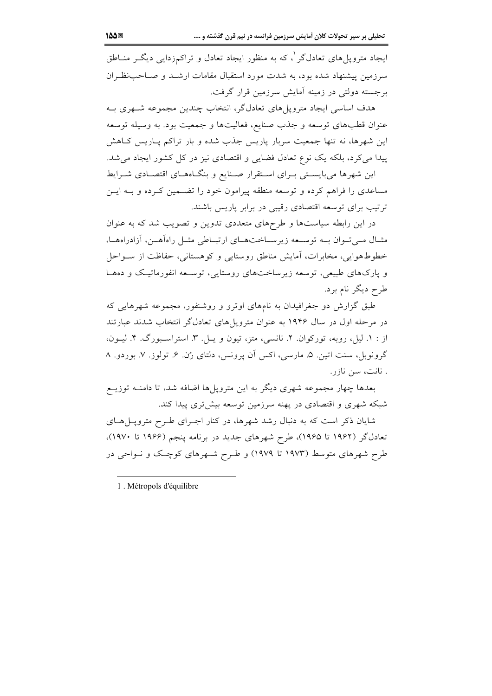ایجاد متروپلهای تعادلگر <sup>۱</sup>، که به منظور ایجاد تعادل و تراکمزدایی دیگـر منــاطق سرزمین پیشنهاد شده بود، به شدت مورد استقبال مقامات ارشـد و صـاحبنظـران برجسته دولتی در زمینه آمایش سرزمین قرار گرفت.

هدف اساسی ایجاد مترویلهای تعادلگر، انتخاب چندین مجموعه شـهری بـه عنوان قطبهای توسعه و جذب صنایع، فعالیتها و جمعیت بود. به وسیله توسعه این شهرها، نه تنها جمعیت سربار یاریس جذب شده و بار تراکم پــاریس کــاهش پیدا می کرد، بلکه یک نوع تعادل فضایی و اقتصادی نیز در کل کشور ایجاد می شد. این شهرها میبایستی بـرای اسـتقرار صـنایع و بنگـاههـای اقتصـادی شـرایط

مساعدی را فراهم کرده و توسعه منطقه پیرامون خود را تضـمین کـرده و بــه ایــن ترتیب برای توسعه اقتصادی رقیبی در برابر پاریس باشند.

در این رابطه سیاستها و طرحهای متعددی تدوین و تصویب شد که به عنوان مثـال مـي تـوان بــه توســعه زيرســاختـهــاي ارتبــاطي مثــل راهآهــن، آزادراههــا، خطوط هوایی، مخابرات، آمایش مناطق روستایی و کوهستانی، حفاظت از سواحل و یارکهای طبیعی، توسعه زیرساختهای روستایی، توسعه انفورماتیک و دهها طرح دیگر نام برد.

طبق گزارش دو جغرافیدان به نامهای اوترو و روشنفور، مجموعه شهرهایی که در مرحله اول در سال ۱۹۴۶ به عنوان مترویل های تعادل گر انتخاب شدند عبارتند از : ١. ليل، روبه، توركوان. ٢. نانسي، متز، تيون و يـل. ٣. استراسـبورگ. ۴. ليـون، گرونوبل، سنت اتین. ۵. مارسی، اکس آن پرونس، دلتای رُن. ۶. تولوز. ۷. بوردو. ۸ . نانت، سن نازر.

بعدها چهار مجموعه شهری دیگر به این مترویلها اضافه شد، تا دامنـه توزیــع شبکه شهری و اقتصادی در یهنه سرزمین توسعه بیش تری پیدا کند.

شایان ذکر است که به دنبال رشد شهرها، در کنار اجـرای طـرح مترویــلهــای تعادلگر (۱۹۶۲ تا ۱۹۶۵)، طرح شهرهای جدید در برنامه پنجم (۱۹۶۶ تا ۱۹۷۰). طرح شهرهای متوسط (۱۹۷۳ تا ۱۹۷۹) و طـرح شـهرهای کوچـک و نـواحی در

1. Métropols d'équilibre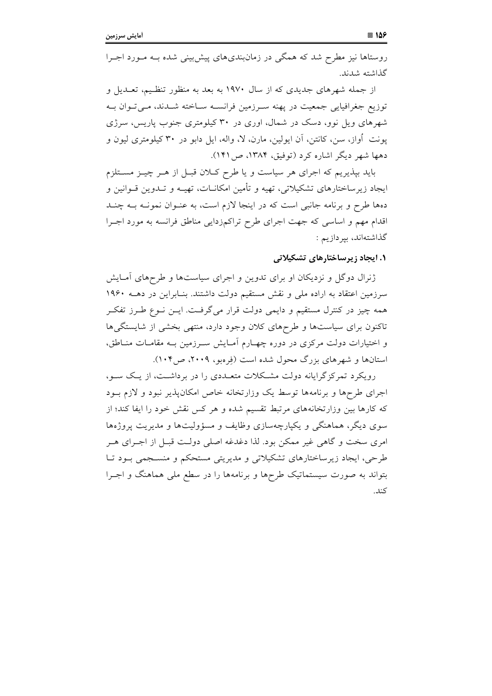روستاها نیز مطرح شد که همگی در زمانبندیهای پیش بینی شده بـه مـورد اجـرا گذاشته شدند.

از جمله شهرهای جدیدی که از سال ۱۹۷۰ به بعد به منظور تنظیم، تعـدیل و توزیع جغرافیایی جمعیت در پهنه سرزمین فرانسـه سـاخته شـدند، مـیتوان بـه شهرهای ویل نوو، دسک در شمال، اوری در ۳۰ کیلومتری جنوب پاریس، سرژی پونت أواز، سن، کانتن، اَن ایولین، مارن، لا، واله، ایل دابو در ۳۰ کیلومتری لیون و دهها شهر دیگر اشاره کرد (توفیق، ۱۳۸۴، ص۱۴۱).

باید بپذیریم که اجرای هر سیاست و یا طرح کلان قبـل از هـر چیـز مسـتلزم ایجاد زیرساختارهای تشکیلاتی، تهیه و تأمین امکانــات، تهیــه و تــدوین قــوانین و دهها طرح و برنامه جانبی است که در اینجا لازم است، به عنـوان نمونـه بــه چنــد اقدام مهم و اساسی که جهت اجرای طرح تراکمزدایی مناطق فرانسه به مورد اجـرا گذاشتهاند، بپردازیم :

#### **۱. ایجاد ; برساختارهای تشکیلاتی**

ژنرال دوگل و نزدیکان او برای تدوین و اجرای سیاستها و طرحهای آمـایش سرزمین اعتقاد به اراده ملی و نقش مستقیم دولت داشتند. بنـابراین در دهــه ۱۹۶۰ همه چیز در کنترل مستقیم و دایمی دولت قرار میگرفت. ایــن نــوع طــرز تفکــر تاکنون برای سیاستها و طرحهای کلان وجود دارد، منتهی بخشی از شایستگیها و اختیارات دولت مرکزی در دوره چهـارم آمـایش سـرزمین بـه مقامـات منـاطق، استانها و شهرهای بزرگ محول شده است (فرهبو، ۲۰۰۹، ص۱۰۴).

رویکرد تمرکز گرایانه دولت مشکلات متعـددی را در برداشـت، از یـک سـو، اجرای طرحها و برنامهها توسط یک وزارتخانه خاص امکان پذیر نبود و لازم بـود که کارها بین وزارتخانههای مرتبط تقسیم شده و هر کس نقش خود را ایفا کند؛ از سوی دیگر، هماهنگی و یکپارچهسازی وظایف و مسؤولیتها و مدیریت پروژهها امري سخت و گاهي غير ممكن بود. لذا دغدغه اصلي دولت قبـل از اجـراي هـر طرحی، ایجاد زیرساختارهای تشکیلاتی و مدیریتی مستحکم و منسـجمی بـود تـا بتواند به صورت سیستماتیک طرحها و برنامهها را در سطع ملی هماهنگ و اجـرا كند.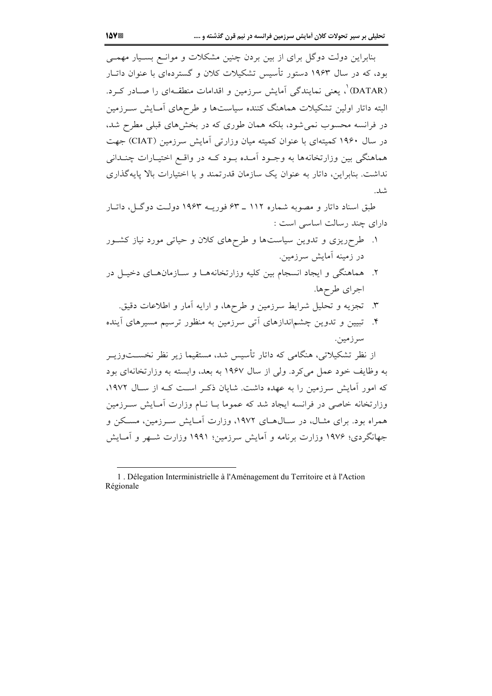بنابراین دولت دوگل برای از بین بردن چنین مشکلات و موانـع بسـیار مهمـی بود، که در سال ۱۹۶۳ دستور تأسیس تشکیلات کلان و گستردهای با عنوان داتیار (DATAR)'، یعنی نمایندگی آمایش سرزمین و اقدامات منطقـهای را صـادر کــرد. .<br>البته داتار اولین تشکیلات هماهنگ کننده سیاستها و طرحهای آمـایش ســرزمین در فرانسه محسوب نمی شود، بلکه همان طوری که در بخش های قبلی مطرح شد. در سال ۱۹۶۰ کمیتهای با عنوان کمیته میان وزارتی آمایش سرزمین (CIAT) جهت هماهنگی بین وزارتخانهها به وجـود آمـده بـود کـه در واقـع اختیـارات چنــدانی نداشت. بنابراین، داتار به عنوان یک سازمان قدرتمند و با اختیارات بالا پایهگذاری شد.

طبق اسناد داتار و مصوبه شماره ۱۱۲ \_ ۶۳ فوریــه ۱۹۶۳ دولــت دوگــل، داتــار دارای چند رسالت اساسی است :

- ۱. طرحریزی و تدوین سیاستها و طرحهای کلان و حیاتی مورد نیاز کشور در زمینه آمایش سرزمین.
- ۲. هماهنگی و ایجاد انسجام بین کلیه وزارتخانههـا و سـازمانهـای دخیـل در اجرای طرحها.
	- ۳. تجزیه و تحلیل شرایط سرزمین و طرحها، و ارایه آمار و اطلاعات دقیق.
- ۴. تبیین و تدوین چشماندازهای آتی سرزمین به منظور ترسیم مسیرهای آینده سرزمين.

از نظر تشکیلاتی، هنگامی که داتار تأسیس شد، مستقیما زیر نظر نخســتوزیــر به وظایف خود عمل می کرد. ولی از سال ۱۹۶۷ به بعد، وابسته به وزارتخانهای بود که امور آمایش سرزمین را به عهده داشت. شایان ذک است کـه از سـال ۱۹۷۲، وزارتخانه خاصی در فرانسه ایجاد شد که عموما بــا نــام وزارت آمــایش ســرزمین همراه بود. برای مثــال، در ســال۱۹۷۲ وزارت آمــایش ســرزمین، مســکن و جهانگردی؛ ۱۹۷۶ وزارت برنامه و آمایش سرزمین؛ ۱۹۹۱ وزارت شـهر و آمـایش

<sup>1.</sup> Délegation Interministrielle à l'Aménagement du Territoire et à l'Action Régionale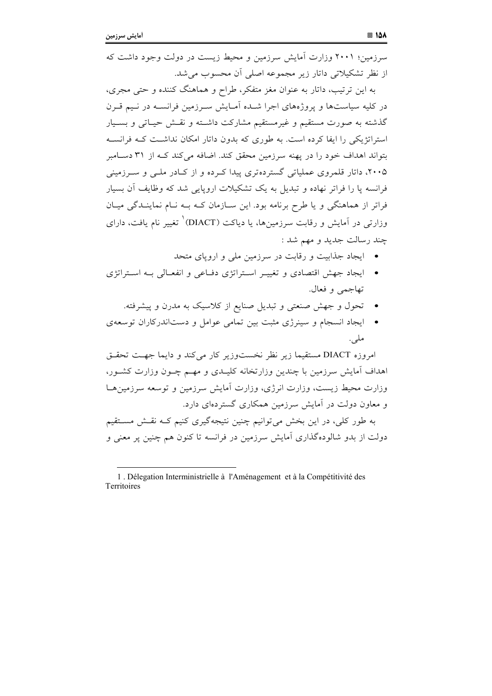سرزمین؛ ۲۰۰۱ وزارت آمایش سرزمین و محیط زیست در دولت وجود داشت که از نظر تشکیلاتی داتار زیر مجموعه اصلی آن محسوب می شد.

به این ترتیب، داتار به عنوان مغز متفکر، طراح و هماهنگ کننده و حتی مجری، در کلیه سیاستها و یروژههای اجرا شـده اَمـایش سـرزمین فرانسـه در نـیم قـرن گذشته به صورت مستقیم و غیرمستقیم مشارکت داشــته و نقــش حیــاتی و بســیار استراتژیکی را ایفا کرده است. به طوری که بدون داتار امکان نداشت کـه فرانسـه بتواند اهداف خود را در یهنه سرزمین محقق کند. اضافه می کند کــه از ۳۱ دســامبر ۲۰۰۵، داتار قلمروی عملیاتی گستردهتری پیدا کرده و از کـادر ملـی و سـرزمینی فرانسه پا را فراتر نهاده و تبدیل به یک تشکیلات اروپایی شد که وظایف آن بسیار فراتر از هماهنگی و یا طرح برنامه بود. این سـازمان کـه بـه نـام نماینـدگی میـان وزارتی در آمایش و رقابت سرزمینها، یا دیاکت (DIACT) تغییر نام یافت، دارای چند رسالت جدید و مهم شد :

- ایجاد جذابیت و رقابت در سرزمین ملی و اروپای متحد
- ايجاد جهش اقتصادي و تغييـر اسـتراتژي دفـاعي و انفعـالي بـه اسـتراتژي تهاجمي و فعال.
	- تحول و جهش صنعتی و تبدیل صنایع از کلاسیک به مدرن و پیشرفته.
- ایجاد انسجام و سینرژی مثبت بین تمامی عوامل و دستاندرکاران توسعهی ملي.

امروزه DIACT مستقيما زير نظر نخستوزير كار مي كند و دايما جهت تحقـق اهداف آمایش سرزمین با چندین وزارتخانه کلیـدی و مهـم چـون وزارت کشـور، وزارت محیط زیست، وزارت انرژی، وزارت آمایش سرزمین و توسعه سرزمین هـا و معاون دولت در آمایش سرزمین همکاری گستردهای دارد.

به طور کلی، در این بخش می توانیم چنین نتیجهگیری کنیم کـه نقـش مسـتقیم دولت از بدو شالودهگذاری آمایش سرزمین در فرانسه تا کنون هم چنین پر معنی و

<sup>1.</sup> Délegation Interministrielle à l'Aménagement et à la Compétitivité des Territoires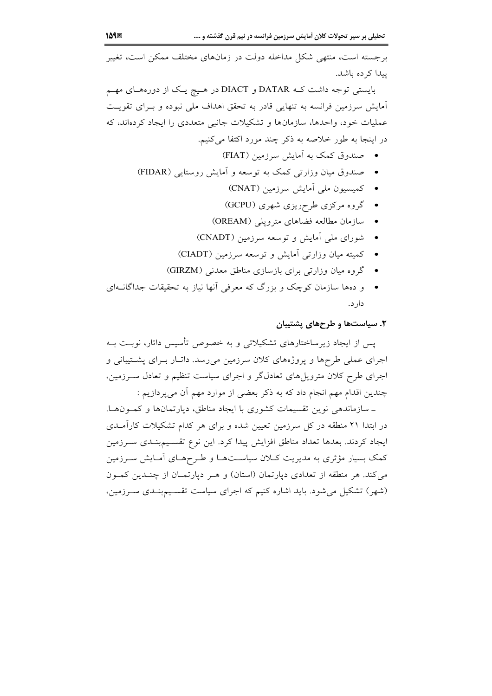برجسته است، منتهی شکل مداخله دولت در زمانهای مختلف ممکن است، تغییر يبدا كرده باشد.

بایستی توجه داشت ک DIACT و DIACT در هـیچ یـک از دورههـای مهـم آمایش سرزمین فرانسه به تنهایی قادر به تحقق اهداف ملی نبوده و بـرای تقویـت عملیات خود، واحدها، سازمانها و تشکیلات جانبی متعددی را ایجاد کردهاند، که در اینجا به طور خلاصه به ذکر چند مورد اکتفا میکنیم.

- صندوق کمک به آمایش سرزمین (FIAT)
- صندوق میان وزارتی کمک به توسعه و اَمایش روستایی (FIDAR)
	- كميسيون ملي آمايش سرزمين (CNAT)
	- گروه مرکزی طرحریزی شهری (GCPU)
	- سازمان مطالعه فضاهای مترویلی (OREAM)
	- شورای ملی آمایش و توسعه سرزمین (CNADT)
	- كميته ميان وزارتي آمايش و توسعه سرزمين (CIADT)
	- گروه میان وزارتی برای بازسازی مناطق معدنی (GIRZM)
- و دهها سازمان کوچک و بزرگ که معرفی آنها نیاز به تحقیقات جداگانــهای دار د.

#### ۲. سیاستها و طرحهای پشتیبان

پس از ایجاد زیرساختارهای تشکیلاتی و به خصوص تأسیس داتار، نوبت بـه اجرای عملی طرحها و پروژههای کلان سرزمین میرسد. داتیار بیرای پشتیبانی و اجرای طرح کلان متروپلهای تعادلگر و اجرای سیاست تنظیم و تعادل سـرزمین، چندین اقدام مهم انجام داد که به ذکر بعضی از موارد مهم آن می پردازیم :

ـ سازماندهی نوین تقسیمات کشوری با ایجاد مناطق، دپارتمانها و کمونها. در ابتدا ۲۱ منطقه در کل سرزمین تعیین شده و برای هر کدام تشکیلات کارآمـدی ايجاد كردند. بعدها تعداد مناطق افزايش پيدا كرد. اين نوع تقسـيمبنـدى سـرزمين کمک بسیار مؤثری به مدیریت کـلان سیاسـتهـا و طـرحهـای آمـایش سـرزمین می کند. هر منطقه از تعدادی دیارتمان (استان) و هـر دیارتمـان از چنـدین کمـون (شهر) تشکیل میشود. باید اشاره کنیم که اجرای سیاست تقسـیمبنـدی سـرزمین،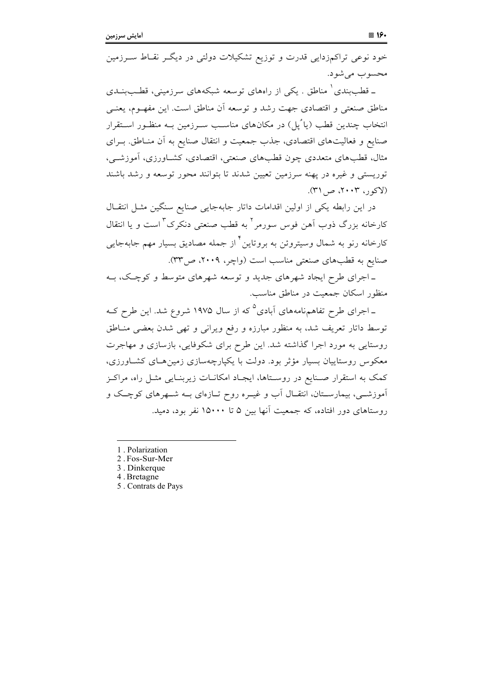خود نوعی تراکمزدایی قدرت و توزیع تشکیلات دولتی در دیگـر نقــاط ســرزمین محسوب مي شود.

ـ قطببندی ْ مناطق . یکی از راههای توسعه شبکههای سرزمینی، قطـببنــدی مناطق صنعتی و اقتصادی جهت رشد و توسعه آن مناطق است. این مفهـوم، یعنـی انتخاب چندین قطب (یا ُیل) در مکانهای مناسب سـرزمین بـه منظـور اسـتقرار صنایع و فعالیتهای اقتصادی، جذب جمعیت و انتقال صنایع به آن منـاطق. بـرای مثال، قطبهای متعددی چون قطبهای صنعتی، اقتصادی، کشـاورزی، آموزشــی، توریستی و غیره در پهنه سرزمین تعیین شدند تا بتوانند محور توسعه و رشد باشند (لاکور، ۲۰۰۳، ص ۳۱).

در این رابطه یکی از اولین اقدامات داتار جابهجایی صنایع سنگین مثـل انتقـال کارخانه بزرگ ذوب آهن فوس سورمر<sup>۲</sup> به قطب صنعتی دنکرک <sup>۳</sup> است و یا انتقال کارخانه رنو به شمال وسیتروئن به بروتاین<sup>۴</sup> از جمله مصادیق بسیار مهم جابهجایی صنایع به قطبهای صنعتی مناسب است (واچر، ۲۰۰۹، ص۳۳).

ـ اجرای طرح ایجاد شهرهای جدید و توسعه شهرهای متوسط و کوچک، بـه منظور اسکان جمعیت در مناطق مناسب.

ـ اجرای طرح تفاهمنامههای آبادی<sup>۵</sup> که از سال ۱۹۷۵ شروع شد. این طرح کـه توسط داتار تعریف شد، به منظور مبارزه و رفع ویرانی و تهی شدن بعضی مناطق روستایی به مورد اجرا گذاشته شد. این طرح برای شکوفایی، بازسازی و مهاجرت معکوس روستاییان بسیار مؤثر بود. دولت با یکپارچهسازی زمین هـای کشـاورزی، کمک به استقرار صـنایع در روسـتاها، ایجـاد امکانــات زیربنــایی مثــل راه، مراکــز آموزشــی، بیمارســتان، انتقــال آب و غیــره روح تــازهای بــه شــهرهای کوچــک و روستاهای دور افتاده، که جمعیت آنها بین ۵ تا ۱۵۰۰۰ نفر بود، دمید.

- 1. Polarization
- 2. Fos-Sur-Mer
- 3. Dinkerque
- 4. Bretagne
- 5. Contrats de Pays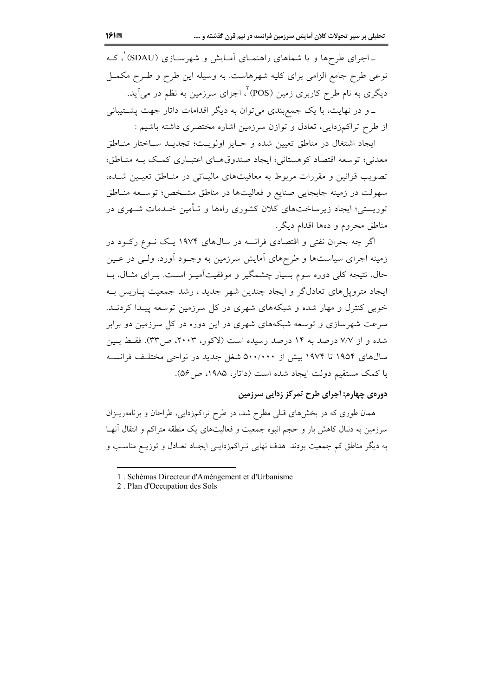ـ اجرای طرحها و یا شماهای راهنمـای آمـایش و شهرسـازی (SDAU) ْ، کـه نوعی طرح جامع الزامی برای کلیه شهرهاست. به وسیله این طرح و طـرح مکمــل دیگری به نام طرح کاربری زمین (POS) ٌ، اجزای سرزمین به نظم در می آید. \_و در نهایت، با یک جمع بندی می توان به دیگر اقدامات داتار جهت پشتیبانی از طرح تراکمزدایی، تعادل و توازن سرزمین اشاره مختصری داشته باشیم :

ايجاد اشتغال در مناطق تعيين شده و حـايز اولويـت؛ تجديـد سـاختار منـاطق معدني؛ توسعه اقتصاد كوهستاني؛ ايجاد صندوقهـاي اعتبـاري كمـك بـه منـاطق؛ تصویب قوانین و مقررات مربوط به معافیتهای مالیـاتی در منـاطق تعیـین شـده، سهولت در زمینه جابجایی صنایع و فعالیتها در مناطق مشخص؛ توسـعه منـاطق توریستی؛ ایجاد زیرساختهای کلان کشوری راهها و تـأمین خــدمات شــهری در مناطق محروم و دهها اقدام دیگر.

اگر چه بحران نفتی و اقتصادی فرانسه در سالهای ۱۹۷۴ یک نـوع رکـود در زمینه اجرای سیاستها و طرحهای آمایش سرزمین به وجـود آورد، ولـی در عـین حال، نتیجه کلی دوره سوم بسیار چشمگیر و موفقیتآمیـز اسـت. بـرای مثـال، بـا ایجاد مترویل های تعادلگر و ایجاد چندین شهر جدید ، رشد جمعیت پــاریس بــه خوبی کنترل و مهار شده و شبکههای شهری در کل سرزمین توسعه پیـدا کردنـد. سرعت شهرسازی و توسعه شبکههای شهری در این دوره در کل سرزمین دو برابر شده و از ۷/۷ درصد به ۱۴ درصد رسیده است (لاکور، ۲۰۰۳، ص۳۳). فقط بـین سال@ای ۱۹۵۴ تا ۱۹۷۴ بیش از ۵۰۰/۰۰۰ شغل جدید در نواحی مختلف فرانسـه با کمک مستقیم دولت ایجاد شده است (داتار، ۱۹۸۵، ص ۵۶).

#### دورهي چهارم: اجراي طرح تمركز زدايي سرزمين

همان طوری که در بخشهای قبلی مطرح شد، در طرح تراکمزدایی، طراحان و برنامهریـزان سرزمین به دنبال کاهش بار و حجم انبوه جمعیت و فعالیتهای یک منطقه متراکم و انتقال آنهـا به دیگر مناطق کم جمعیت بودند. هدف نهایی تـراکمزدایـی ایجـاد تعـادل و توزیـع مناسـب و

<sup>1.</sup> Schèmas Directeur d'Améngement et d'Urbanisme

<sup>2.</sup> Plan d'Occupation des Sols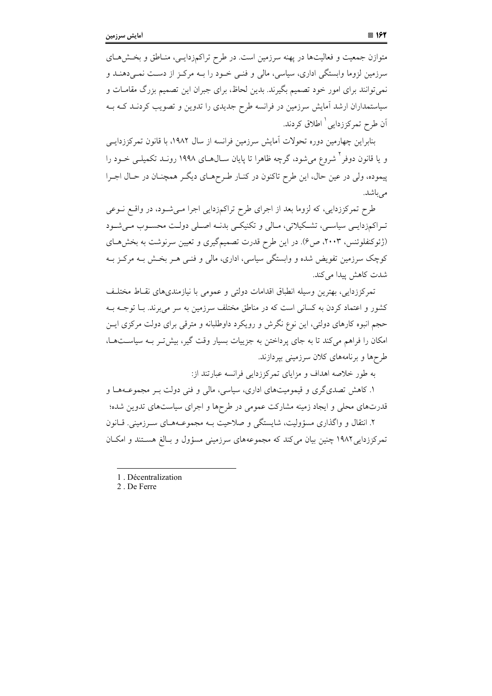متوازن جمعیت و فعالیتها در پهنه سرزمین است. در طرح تراکمزدایـی، منـاطق و بخـش۵حـای سرزمین لزوما وابستگی اداری، سیاسی، مالی و فنـی خـود را بــه مرکـز از دسـت نمـی(هنــد و نمی توانند برای امور خود تصمیم بگیرند. بدین لحاظ، برای جبران این تصمیم بزرگ مقامـات و سیاستمداران ارشد آمایش سرزمین در فرانسه طرح جدیدی را تدوین و تصویب کردنــد کــه بــه اّن طرح تمرکززدایی <sup>۱</sup> اطلاق کردند.

بنابراین چهارمین دوره تحولات اَمایش سرزمین فرانسه از سال ۱۹۸۲، با قانون تمرکززدایــی و یا قانون دوفر <sup>۲</sup> شروع می شود، گرچه ظاهرا تا پایان ســال۱۹۹۸ روز دارد تکمیلــی خــود را پیموده، ولی در عین حال، این طرح تاکنون در کنـار طـرحهـای دیگـر همچنـان در حـال اجـرا مىباشد.

طرح تمرکززدایی، که لزوما بعد از اجرای طرح تراکمزدایی اجرا مـیشـود، در واقـع نـوعی تـراکمزدايـي سياسـي، تشـکيلاتي، مـالي و تکنيکـي بدنــه اصـلي دولـت محسـوب مـي شـود (ژئوکنفلوئنس، ۲۰۰۳، ص۶). در این طرح قدرت تصمیمگیری و تعیین سرنوشت به بخشهای کوچک سرزمین تفویض شده و وابستگی سیاسی، اداری، مالی و فنبی هـر بخـش بـه مرکـز بـه شدت كاهش يبدا مي كند.

تمركززدايي، بهترين وسيله انطباق اقدامات دولتي و عمومي با نيازمنديهاي نقـاط مختلـف کشور و اعتماد کردن به کسانی است که در مناطق مختلف سرزمین به سر می برند. بــا توجــه بــه حجم انبوه کارهای دولتی، این نوع نگرش و رویکرد داوطلبانه و مترقی برای دولت مرکزی ایـن امکان را فراهم می کند تا به جای پرداختن به جزییات بسیار وقت گیر، بیش تـر بـه سیاسـتهـا، طرحها و برنامههای کلان سرزمینی بیردازند.

به طور خلاصه اهداف و مزایای تمرکززدایی فرانسه عبارتند از:

۱. کاهش تصدیگری و قیمومیتهای اداری، سیاسی، مالی و فنی دولت بـر مجموعــههـا و قدرتهای محلی و ایجاد زمینه مشارکت عمومی در طرحها و اجرای سیاستهای تدوین شده؛ ۲. انتقال و واگذاری مسؤولیت، شایستگی و صلاحیت بـه مجموعـههـای سـرزمینی. قـانون تمرکززدایی ۱۹۸۲ چنین بیان می کند که مجموعههای سرزمینی مسؤول و بـالغ هسـتند و امکـان

<sup>1.</sup> Décentralization

<sup>2.</sup> De Ferre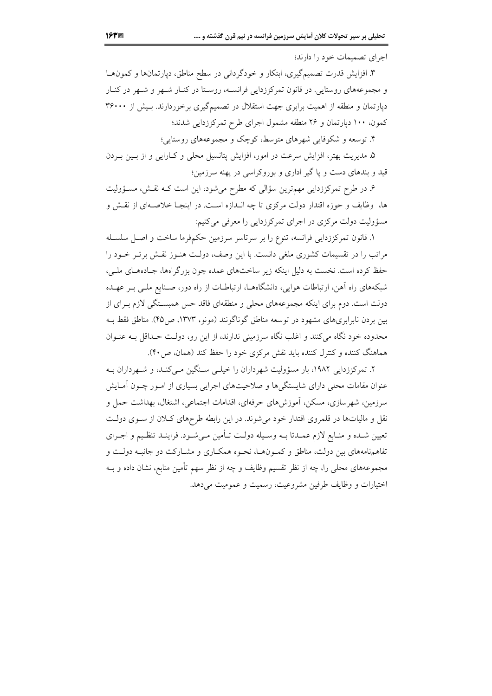اجرای تصمیمات خود را دارند؛

۳. افزایش قدرت تصمیمگیری، ابتکار و خودگردانی در سطح مناطق، دیارتمانها و کمونهـا و مجموعههای روستایی. در قانون تمرکززدایی فرانسـه، روسـتا در کنـار شـهر و شـهر در کنـار دیارتمان و منطقه از اهمیت برابری جهت استقلال در تصمیمگیری برخوردارند. بـیش از ۳۶۰۰۰ کمون، ۱۰۰ دیارتمان و ۲۶ منطقه مشمول اجرای طرح تمرکززدایی شدند؛

۴. توسعه و شکوفایی شهرهای متوسط، کوچک و مجموعههای روستایی؛

۵. مدیریت بهتر، افزایش سرعت در امور، افزایش پتانسیل محلی و کـارایی و از بــین بــردن قید و بندهای دست و پا گیر اداری و بوروکراسی در پهنه سرزمین؛

۶. در طرح تمرکززدایی مهمترین سؤالی که مطرح میشود، این است کـه نقـش، مسـؤولیت ها، وظایف و حوزه اقتدار دولت مرکزی تا چه انــدازه اســت. در اینجــا خلاصـــهای از نقــش و مسؤولیت دولت مرکزی در اجرای تمرکززدایی را معرفی میکنیم:

۱. قانون تمرکززدایی فرانسه، تنوع را بر سرتاسر سرزمین حکمفرما ساخت و اصـل سلسـله مراتب را در تقسیمات کشوری ملغی دانست. با این وصف، دولت هنوز نقش برتـر خـود را حفظ کرده است. نخست به دلیل اینکه زیر ساختهای عمده چون بزرگراهها، جـادههـای ملـی، شبکههای راه آهن، ارتباطات هوایی، دانشگاههـا، ارتباطـات از راه دور، صـنایع ملـی بـر عهـده دولت است. دوم برای اینکه مجموعههای محلی و منطقهای فاقد حس همبسـتگی لازم بـرای از بین بردن نابرابریهای مشهود در توسعه مناطق گوناگونند (مونو، ۱۳۷۳، ص۴۵). مناطق فقط بـه محدوده خود نگاه میکنند و اغلب نگاه سرزمینی ندارند، از این رو، دولت حـداقل بـه عنـوان هماهنگ کننده و کنترل کننده باید نقش مرکزی خود را حفظ کند (همان، ص ۴۰).

۲. تمرکززدایی ۱۹۸۲، بار مسؤولیت شهرداران را خیلـی سـنگین مـی کنـد، و شـهرداران بـه عنوان مقامات محلی دارای شایستگی ها و صلاحیتهای اجرایی بسیاری از امـور چـون آمـایش سرزمین، شهرسازی، مسکن، آموزشهای حرفهای، اقدامات اجتماعی، اشتغال، بهداشت حمل و نقل و مالیاتها در قلمروی اقتدار خود میشوند. در این رابطه طرحهای کلان از سـوی دولـت تعیین شـده و منـابع لازم عمـدتا بــه وسـیله دولــت تــأمین مــیشـود. فراینــد تنظـیم و اجــرای تفاهمنامههای بین دولت، مناطق و کمـونهـا، نحـوه همکـاری و مشـارکت دو جانبـه دولـت و مجموعههای محلی را، چه از نظر تقسیم وظایف و چه از نظر سهم تأمین منابع، نشان داده و بــه اختيارات و وظايف طرفين مشروعيت، رسميت و عموميت مي دهد.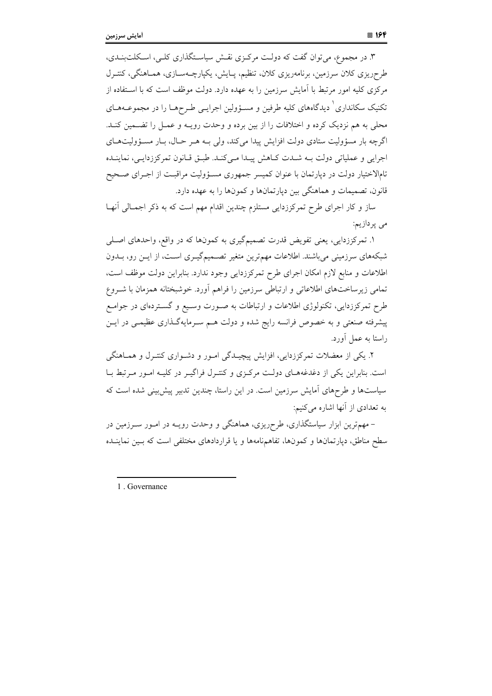۳. در مجموع، می توان گفت که دولت مرکزی نقش سیاستگذاری کلبی، اسکلتبنـدی، طرحریزی کلان سرزمین، برنامهریزی کلان، تنظیم، پـایش، یکپارچــهســازی، همــاهنگی، کنتــرل مرکزی کلیه امور مرتبط با اَمایش سرزمین را به عهده دارد. دولت موظف است که با اسـتفاده از تکنیک سکانداری ٔ دیدگاههای کلیه طرفین و مسـؤولین اجرایـی طـرحهـا را در مجموعــههـای محلی به هم نزدیک کرده و اختلافات را از بین برده و وحدت رویــه و عمــل را تضــمین کنــد. اگرچه بار مسؤولیت ستادی دولت افزایش پیدا می کند، ولی بـه هـر حـال، بـار مسـؤولیتهـای اجرایی و عملیاتی دولت بـه شـدت كـاهش پيـدا مـیكنـد. طبـق قـانون تمركززدايـی، نماينـده تامالاختیار دولت در دپارتمان با عنوان کمیسر جمهوری مسـؤولیت مراقبـت از اجـرای صـحیح قانون، تصمیمات و هماهنگی بین دیارتمانها و کمونها را به عهده دارد.

ساز و کار اجرای طرح تمرکززدایی مستلزم چندین اقدام مهم است که به ذکر اجمـالی آنهـا مى پردازيم:

۱. تمرکززدایی، یعنی تفویض قدرت تصمیمگیری به کمونها که در واقع، واحدهای اصلی شبکههای سرزمینی میباشند. اطلاعات مهم ترین متغیر تصـمیمگیــری اسـت، از ایــن رو، بــدون اطلاعات و منابع لازم امکان اجرای طرح تمرکززدایی وجود ندارد. بنابراین دولت موظف است، تمامی زیرساختهای اطلاعاتی و ارتباطی سرزمین را فراهم آورد. خوشبختانه همزمان با شـروع طرح تمرکززدایی، تکنولوژی اطلاعات و ارتباطات به صـورت وسـیع و گسـتردهای در جوامـع پیشرفته صنعتی و به خصوص فرانسه رایج شده و دولت هــم ســرمایهگــذاری عظیمــی در ایــن راستا به عمل آورد.

۲. یکی از معضلات تمرکززدایی، افزایش پیچیـدگی امـور و دشـواری کنتـرل و همـاهنگـم است. بنابراین یکی از دغدغههـای دولـت مرکـزی و کنتـرل فراگیـر در کلیـه امـور مـرتبط بـا سیاستها و طرحهای آمایش سرزمین است. در این راستا، چندین تدبیر پیش بینی شده است که به تعدادی از آنها اشاره می کنیم:

– مهمترین ابزار سیاستگذاری، طرحریزی، هماهنگی و وحدت رویــه در امــور ســرزمین در سطح مناطق، دیارتمانها و کمونها، تفاهمنامهها و یا قراردادهای مختلفی است که بسین نماینــده

1 Governance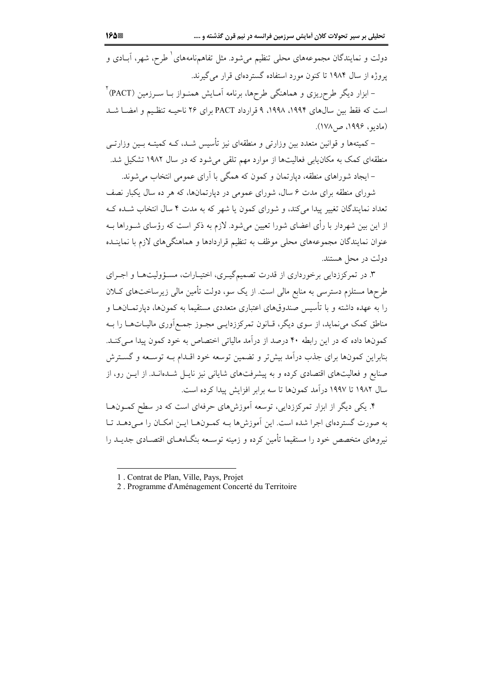دولت و نمایندگان مجموعههای محلی تنظیم میشود. مثل تفاهمهنامههای ٔ طرح، شهر، آبــادی و یروژه از سال ۱۹۸۴ تا کنون مورد استفاده گستردهای قرار می گیرند.

– ابزار دیگر طرحریزی و هماهنگی طرحها، برنامه آمـایش همنــواز بــا ســرزمین (PACT) ٔ است که فقط بین سالهای ۱۹۹۴، ۱۹۹۸، ۹ قرارداد PACT برای ۲۶ ناحیـه تنظیم و امضـا شـد (مادیو، ۱۹۹۶، ص۱۷۸).

– کمیتهها و قوانین متعدد بین وزارتی و منطقهای نیز تأسیس شـد، کـه کمیتــه بــین وزارتــی منطقهای کمک به مکان**یابی فعالیتها از موارد مهم تلقی می**شود که در سال ۱۹۸۲ تشکیل شد.

– ایجاد شوراهای منطقه، دیارتمان و کمون که همگی با آرای عمومی انتخاب می شوند.

شورای منطقه برای مدت ۶ سال، شورای عمومی در دیارتمانها، که هر ده سال یکبار نصف تعداد نمایندگان تغییر پیدا می کند، و شورای کمون یا شهر که به مدت ۴ سال انتخاب شـده کـه از این بین شهردار با رأی اعضای شورا تعیین می شود. لازم به ذکر است که رؤسای شــوراها بــه عنوان نمایندگان مجموعههای محلی موظف به تنظیم قراردادها و هماهنگیهای لازم با نماینــده دولت در محل هستند.

۳. در تمرکززدایی برخورداری از قدرت تصمیمگیـری، اختیـارات، مسـؤولیتهـا و اجـرای طرحها مستلزم دسترسی به منابع مالی است. از یک سو، دولت تأمین مالی زیرساختهای کـلان را به عهده داشته و با تأسیس صندوقهای اعتباری متعددی مستقیما به کمونها، دیارتمــانهــا و مناطق کمک می نماید، از سوی دیگر، قـانون تمرکززدایـی مجـوز جمـع|وری مالیـاتهـا را بـه کمونها داده که در این رابطه ۴۰ درصد از درآمد مالیاتی اختصاص به خود کمون پیدا مـیکنـد. بنابراین کمونها برای جذب درآمد بیش تر و تضمین توسعه خود اقـدام بــه توســعه و گســترش صنایع و فعالیتهای اقتصادی کرده و به پیشرفتهای شایانی نیز نایـل شــدهانــد. از ایــن رو، از سال ۱۹۸۲ تا ۱۹۹۷ درآمد کمونها تا سه برابر افزایش پیدا کرده است.

۴. یکی دیگر از ابزار تمرکززدایی، توسعه آموزش۵ای حرفهای است که در سطح کمـونهـا به صورت گستردهای اجرا شده است. این آموزش ها بـه کمـونهـا ایـن امکـان را مـی دهـد تـا نیروهای متخصص خود را مستقیما تأمین کرده و زمینه توسـعه بنگــاههــای اقتصــادی جدیــد را

<sup>1.</sup> Contrat de Plan, Ville, Pays, Projet

<sup>2.</sup> Programme d'Aménagement Concerté du Territoire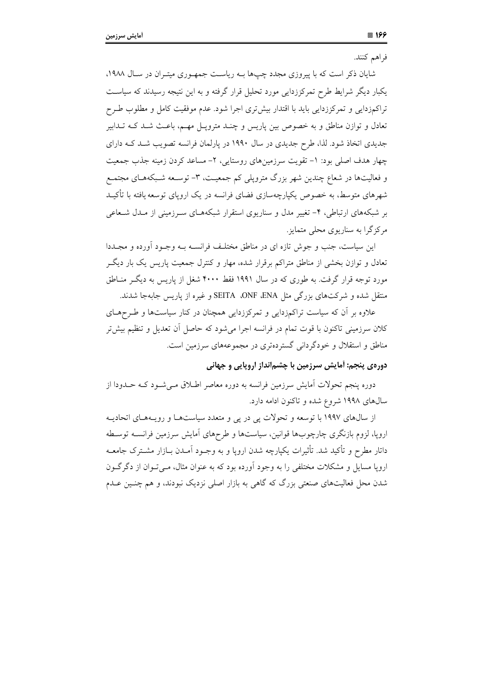شایان ذکر است که با پیروزی مجدد چپها بـه ریاسـت جمهـوری میتـران در سـال ۱۹۸۸، یکبار دیگر شرایط طرح تمرکززدایی مورد تحلیل قرار گرفته و به این نتیجه رسیدند که سیاست تراکمزدایی و تمرکززدایی باید با اقتدار بیش تری اجرا شود. عدم موفقیت کامل و مطلوب طـرح تعادل و توازن مناطق و به خصوص بین پاریس و چنـد مترویـل مهـم، باعـث شـد کـه تـدابیر جدیدی اتخاذ شود. لذا، طرح جدیدی در سال ۱۹۹۰ در یارلمان فرانسه تصویب شـد کـه دارای چهار هدف اصلی بود: ١- تقویت سرزمینهای روستایی، ٢- مساعد کردن زمینه جذب جمعیت و فعالیتها در شعاع چندین شهر بزرگ مترویلی کم جمعیت، ۳- توسـعه شـبکههـای مجتمـع شهرهای متوسط، به خصوص یکپارچهسازی فضای فرانسه در یک اروپای توسعه یافته با تأکیـد بر شبکههای ارتباطی، ۴- تغییر مدل و سناریوی استقرار شبکههـای سـرزمینی از مـدل شـعاعی مرکزگرا به سناریوی محلی متمایز.

این سیاست، جنب و جوش تازه ای در مناطق مختلـف فرانســه بــه وجــود أورده و مجــددا تعادل و توازن بخشی از مناطق متراکم برقرار شده، مهار و کنترل جمعیت پاریس یک بار دیگـر مورد توجه قرار گرفت. به طوری که در سال ۱۹۹۱ فقط ۴۰۰۰ شغل از پاریس به دیگـر منــاطق منتقل شده و شرکتهای بزرگی مثل SEITA ،ONF ،ENA و غیره از یاریس جابهجا شدند.

علاوه بر آن که سیاست تراکمزدایی و تمرکززدایی همچنان در کنار سیاستها و طـرحهـای کلان سرزمینی تاکنون با قوت تمام در فرانسه اجرا میشود که حاصل آن تعدیل و تنظیم بیش تر مناطق و استقلال و خودگردانی گستردهتری در مجموعههای سرزمین است.

#### دورهی پنجم: آمایش سرزمین با چشم|نداز اروپایی و جهانی

دوره پنجم تحولات اًمایش سرزمین فرانسه به دوره معاصر اطـلاق مــیشــود کــه حــدودا از سال های ۱۹۹۸ شروع شده و تاکنون ادامه دارد.

از سال های ۱۹۹۷ با توسعه و تحولات پی در پی و متعدد سیاست هـا و رویـههـای اتحادیـه اروپا، لزوم بازنگری چارچوبها قوانین، سیاستها و طرحهای آمایش سرزمین فرانســه توسـطه داتار مطرح و تأکید شد. تأثیرات یکیارچه شدن ارویا و به وجـود اَمـدن بــازار مشــترک جامعــه اروپا مسایل و مشکلات مختلفی را به وجود آورده بود که به عنوان مثال، مـیتـوان از دگرگـون شدن محل فعالیتهای صنعتی بزرگ که گاهی به بازار اصلی نزدیک نبودند، و هم چنـین عـدم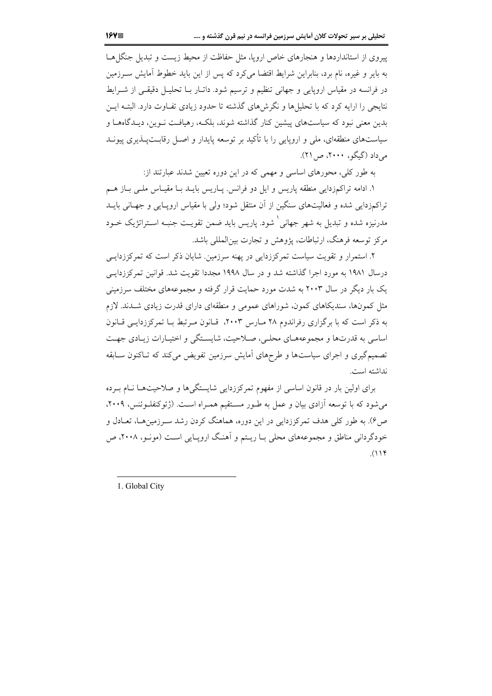پیروی از استانداردها و هنجارهای خاص اروپا، مثل حفاظت از محیط زیست و تبدیل جنگا هـا به بایر و غیره، نام برد، بنابراین شرایط اقتضا می کرد که پس از این باید خطوط آمایش ســرزمین در فرانسه در مقیاس اروپایی و جهانی تنظیم و ترسیم شود. داتـار بـا تحليـل دقيقـی از شـرايط نتایجی را ارایه کرد که با تحلیل ها و نگرش های گذشته تا حدود زیادی تفیاوت دارد. البتیه ایس بدین معنی نبود که سیاستهای پیشین کنار گذاشته شوند، بلکـه، رهیافـت نــوین، دیــدگاههــا و سیاستهای منطقهای، ملی و اروپایی را با تأکید بر توسعه پایدار و اصـل رقابــتپــذیری پیونــد می داد (گیگو، ۲۰۰۰، ص ۲۱).

به طور کلی، محورهای اساسی و مهمی که در این دوره تعیین شدند عبارتند از:

١. ادامه تراكمزدايي منطقه پاريس و ايل دو فرانس. پـاريس بايــد بــا مقيــاس ملــي بــاز هــم تراکمزدایی شده و فعالیتهای سنگین از آن منتقل شود؛ ولی با مقیاس اروپـایی و جهـانی بایــد مدرنیزه شده و تبدیل به شهر جهانی <sup>(</sup> شود. پاریس باید ضمن تقویت جنبه استراتژیک خبود مرکز توسعه فرهنگ، ارتباطات، پژوهش و تجارت پین المللے پاشد.

۲. استمرار و تقویت سیاست تمرکززدایی در پهنه سرزمین. شایان ذکر است که تمرکززدایـی درسال ۱۹۸۱ به مورد اجرا گذاشته شد و در سال ۱۹۹۸ مجددا تقویت شد. قوانین تمرکززدایـی یک بار دیگر در سال ۲۰۰۳ به شدت مورد حمایت قرار گرفته و مجموعههای مختلف سرزمینی مثل کمونها، سندیکاهای کمون، شوراهای عمومی و منطقهای دارای قدرت زیادی شــدند. لازم به ذکر است که با برگزاری رفراندوم ۲۸ مـارس ۲۰۰۳، قـانون مـرتبط بـا تمرکززدایـی قـانون اساسي به قدرتها و مجموعههاي محلبي، صلاحيت، شايستگي و اختيارات زيـادي جهـت تصمیم گیری و اجرای سیاستها و طرحهای آمایش سرزمین تفویض می کند که تـاکنون سـابقه نداشته است.

برای اولین بار در قانون اساسی از مفهوم تمرکززدایی شایستگیها و صلاحیتها نـام بـرده می شود که با توسعه آزادی بیان و عمل به طـور مسـتقیم همـراه اسـت. (ژئوکنفلـوئنس، ۲۰۰۹، ص ۶). به طور کلم ِ هدف تمرکززدایی در این دوره، هماهنگ کردن رشد سـرزمینهـا، تعــادل و خودگردانی مناطق و مجموعههای محلی بـا ریـتم و آهنـگ ارویـایی اسـت (مونـو، ۲۰۰۸، ص  $(114)$ 

1. Global City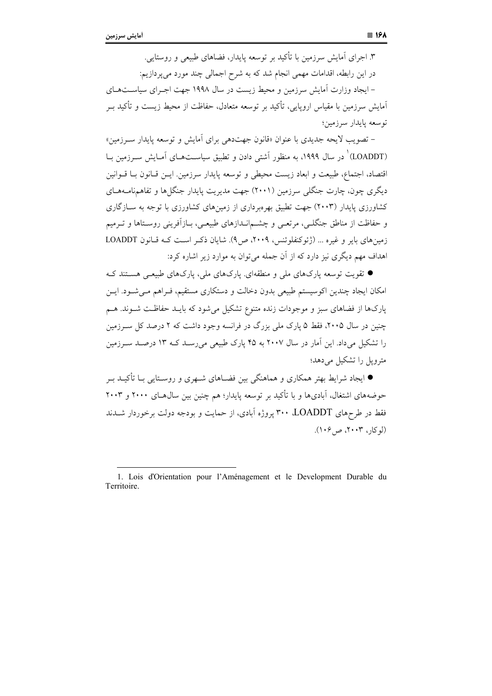۳. اجرای آمایش سرزمین با تأکید بر توسعه پایدار، فضاهای طبیعی و روستایی. در این رابطه، اقدامات مهمی انجام شد که به شرح اجمالی چند مورد میپردازیم: – ایجاد وزارت آمایش سرزمین و محیط زیست در سال ۱۹۹۸ جهت اجـرای سیاسـتهـای آمایش سرزمین با مقیاس اروپایی، تأکید بر توسعه متعادل، حفاظت از محیط زیست و تأکید ب توسعه بابدار سرزمين؛

– تصویب لایحه جدیدی با عنوان «قانون جهتدهی برای آمایش و توسعه پایدار سـرزمین» (LOADDT)<sup>۱</sup> در سال ۱۹۹۹، به منظور آشتی دادن و تطبیق سیاســتهــای آمــایش ســرزمین بــا اقتصاد، اجتماع، طبیعت و ابعاد زیست محیطی و توسعه پایدار سرزمین. ایــن قــانون بــا قــوانین دیگری چون، چارت جنگلی سرزمین (۲۰۰۱) جهت مدیریت پایدار جنگلها و تفاهمنامـههـای کشاورزی پایدار (۲۰۰۳) جهت تطبیق بهرهبرداری از زمینهای کشاورزی با توجه به ســازگاری و حفاظت از مناطق جنگلبی، مرتعبی و چشــمانــدازهای طبیعــی، بــازاَفرینی روســتاها و تــرمیم زمینهای بایر و غیره ... (ژئوکنفلوئنس، ۲۰۰۹، ص۹). شایان ذکر است کـه قـانون LOADDT اهداف مهم دیگری نیز دارد که از آن جمله می توان به موارد زیر اشاره کرد:

● تقویت توسعه یارکهای ملی و منطقهای. یارکهای ملی، یارکهای طبیعـی هسـتند کـه امکان ایجاد چندین اکوسیستم طبیعی بدون دخالت و دستکاری مستقیم، فـراهم مـیشـود. ایـن پارکها از فضاهای سبز و موجودات زنده متنوع تشکیل می شود که بایـد حفاظـت شـوند. هـم چنین در سال ۲۰۰۵، فقط ۵ پارک ملی بزرگ در فرانسه وجود داشت که ۲ درصد کل سـرزمین را تشکیل می داد. این آمار در سال ۲۰۰۷ به ۴۵ پارک طبیعی می رسـد کـه ۱۳ درصـد ســرزمین مترویل را تشکیل می دهد؛

● ایجاد شرایط بهتر همکاری و هماهنگی بین فضـاهای شـهری و روسـتایی بـا تأکیــد بـر حوضههای اشتغال، آبادیها و با تأکید بر توسعه پایدار؛ هم چنین بین سال@عای ۲۰۰۰ و ۲۰۰۳ فقط در طرحهای LOADDT، ۳۰۰ پروژه آبادی، از حمایت و بودجه دولت برخوردار شــدند (لو کار، ۲۰۰۳، ص ۱۰۶).

<sup>1.</sup> Lois d'Orientation pour l'Aménagement et le Development Durable du Territoire.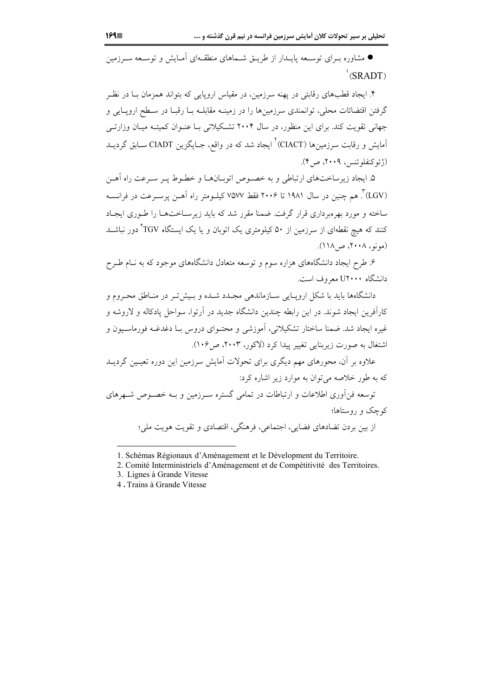● مشاوره بـرای توسـعه پایــدار از طریــق شــماهای منطقــهای اَمــایش و توســعه ســرزمین  $\Gamma$  (SRADT)

۴. ایجاد قطبهای رقابتی در یهنه سرزمین، در مقیاس اروپایی که بتواند همزمان بـا در نظـر گرفتن اقتضائات محلی، توانمندی سرزمینها را در زمینـه مقابلـه بــا رقبــا در ســطح اروپــایی و جهانی تقویت کند. برای این منظور، در سال ۲۰۰۴ تشکیلاتی بـا عنـوان کمیتـه میـان وزارتـی آمایش و رقابت سرزمینها (CIACT)<sup>۲</sup> ایجاد شد که در واقع، جـایگزین CIADT ســابق گردیــد (ژئوکنفلوئنس، ۲۰۰۹، ص۴).

۵. ایجاد زیرساختهای ارتباطی و به خصوص اتوبیانها و خطـوط پـر سـرعت راه آهـن (LGV)". هم چنین در سال ۱۹۸۱ تا ۲۰۰۶ فقط ۷۵۷۷ کیلـومتر راه اَهــن پرســرعت در فرانســه ساخته و مورد بهره داری قرار گرفت. ضمنا مقرر شد که باید زیرسپاختها را طبوری ایجباد کنند که هیچ نقطهای از سرزمین از ۵۰ کیلومتری یک اتوبان و یا یک ایستگاه TGV ّدور نباشــد (مونو، ۲۰۰۸، ص۱۱۸).

۶. طرح ایجاد دانشگاههای هزاره سوم و توسعه متعادل دانشگاههای موجود که به نــام طــرح دانشگاه U۲۰۰۰ معروف است.

دانشگاهها باید با شکل ارویـایی سـازماندهی مجـدد شـده و بـیشتر در منـاطق محـروم و کارآفرین ایجاد شوند. در این رابطه چندین دانشگاه جدید در آرتوا، سواحل پادکاله و لاروشه و غیره ایجاد شد. ضمنا ساختار تشکیلاتی، آموزشی و محتـوای دروس بـا دغدغـه فورماسـیون و اشتغال به صورت زیربنایی تغییر پیدا کرد (لاکور، ۲۰۰۳، ص۱۰۶).

علاوه بر آن، محورهای مهم دیگری برای تحولات آمایش سرزمین این دوره تعیـین گردیــد که به طور خلاصه می توان به موارد زیر اشاره کرد: توسعه فنأوري اطلاعات و ارتباطات در تمامي گستره سـرزمين و بــه خصـوص شــهرهاي کوچک و روستاها؛

از بین بردن تضادهای فضایی، اجتماعی، فرهنگی، اقتصادی و تقویت هویت ملی؛

<sup>1.</sup> Schémas Régionaux d'Aménagement et le Dévelopment du Territoire.

<sup>2.</sup> Comité Interministriels d'Aménagement et de Compétitivité des Territoires.

<sup>3.</sup> Lignes à Grande Vitesse

<sup>4.</sup> Trains à Grande Vitesse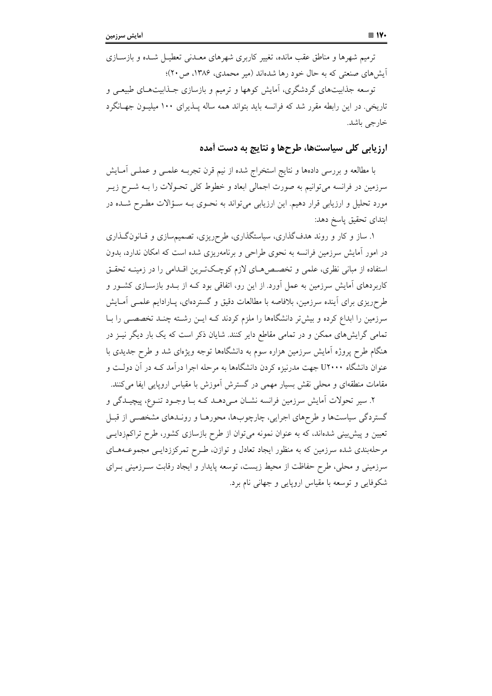ترمیم شهرها و مناطق عقب مانده، تغییر کاربری شهرهای معـدنی تعطیـل شـده و بازســازی آیش های صنعتی که به حال خود رها شدهاند (میر محمدی، ۱۳۸۶، ص ۲۰)؛

توسعه جذابیتهای گردشگری، آمایش کوهها و ترمیم و بازسازی جـذابیتهـای طبیعـی و تاریخی. در این رابطه مقرر شد که فرانسه باید بتواند همه ساله پــذیرای ۱۰۰ میلیــون جهــانگرد خارجے پاشد.

#### ارزیابی کلی سیاستها، طرحها و نتایج به دست آمده

با مطالعه و بررسی دادهها و نتایج استخراج شده از نیم قرن تجربــه علمــی و عملــی أمــایش سرزمین در فرانسه می توانیم به صورت اجمالی ابعاد و خطوط کلی تحـولات را بــه شــرح زیــر مورد تحلیل و ارزیابی قرار دهیم. این ارزیابی می تواند به نحـوی بـه سـؤالات مطـرح شـده در ابتداى تحقيق ياسخ دهد:

۱. ساز و کار و روند هدفگذاری، سیاستگذاری، طرحریزی، تصمیمسازی و قـانونگـذاری در امور آمایش سرزمین فرانسه به نحوی طراحی و برنامهریزی شده است که امکان ندارد، بدون استفاده از مبانی نظری، علمی و تخصص های لازم کوچکترین اقدامی را در زمینـه تحقـق کاربردهای آمایش سرزمین به عمل آورد. از این رو، اتفاقی بود کـه از بـدو بازسـازی کشــور و طرحریزی برای آینده سرزمین، بلافاصه با مطالعات دقیق و گستردهای، پـارادایم علمـی آمـایش سرزمین را ابداع کرده و بیش تر دانشگاهها را ملزم کردند کـه ایــن رشــته چنــد تخصصــی را بــا تمامی گرایشهای ممکن و در تمامی مقاطع دایر کنند. شایان ذکر است که یک بار دیگر نیـز در هنگام طرح پروژه آمایش سرزمین هزاره سوم به دانشگاهها توجه ویژهای شد و طرح جدیدی با عنوان دانشگاه U۲۰۰۰ جهت مدرنیزه کردن دانشگاهها به مرحله اجرا درآمد کـه در آن دولـت و مقامات منطقهای و محلی نقش بسیار مهمی در گسترش آموزش با مقیاس اروپایی ایفا می کنند.

۲. سیر تحولات اَمایش سرزمین فرانسه نشـان مـی(دهــد کــه بــا وجــود تنــوع، پیچیــدگی و گستردگی سیاستها و طرحهای اجرایی، چارچوبها، محورهـا و رونـدهای مشخصـی از قبـل تعیین و پیش بینی شدهاند، که به عنوان نمونه می توان از طرح بازسازی کشور، طرح تراکمزدایـی مرحلهبندی شده سرزمین که به منظور ایجاد تعادل و توازن، طـرح تمرکززدایـبی مجموعــههـای سرزمینی و محلی، طرح حفاظت از محیط زیست، توسعه پایدار و ایجاد رقابت سـرزمینی بـرای شکوفایی و توسعه با مقیاس اروپایی و جهانی نام برد.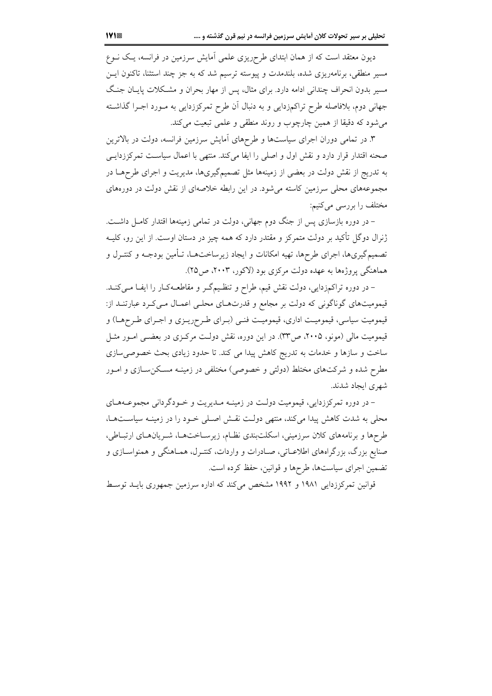دیون معتقد است که از همان ابتدای طرحریزی علمی آمایش سرزمین در فرانسه، یک نــوع مسیر منطقی، برنامهریزی شده، بلندمدت و پیوسته ترسیم شد که به جز چند استثنا، تاکنون ایــز مسیر بدون انحراف چندانی ادامه دارد. برای مثال، پس از مهار بحران و مشـکلات یایــان جنـگ جهانی دوم، بلافاصله طرح تراکمزدایی و به دنبال آن طرح تمرکززدایی به مـورد اجـرا گذاشــته می شود که دقیقا از همین چارچوب و روند منطقی و علمی تبعیت می کند.

۳. در تمامی دوران اجرای سیاستها و طرحهای اَمایش سرزمین فرانسه، دولت در بالاترین صحنه اقتدار قرار دارد و نقش اول و اصلی را ایفا میکند. منتهی با اعمال سیاست تمرکززدایـی به تدریج از نقش دولت در بعضی از زمینهها مثل تصمیمگیریها، مدیریت و اجرای طرحهـا در مجموعههای محلی سرزمین کاسته میشود. در این رابطه خلاصهای از نقش دولت در دورههای مختلف را بررسی میکنیم:

– در دوره بازسازی پس از جنگ دوم جهانی، دولت در تمامی زمینهها اقتدار کامـل داشــت. ژنرال دوگل تأکید بر دولت متمرکز و مقتدر دارد که همه چیز در دستان اوست. از این رو، کلیــه تصمیم گیریها، اجرای طرحها، تهیه امکانات و ایجاد زیرساختهــا، تــأمین بودجــه و کنتــرل و هماهنگی پروژهها به عهده دولت مرکزی بود (لاکور، ۲۰۰۳، ص۲۵).

– در دوره تراکمزدایی، دولت نقش قیم، طراح و تنظیمگر و مقاطعـهکـار را ایفـا مـیکنـد. قیمومیتهای گوناگونی که دولت بر مجامع و قدرتهای محلبی اعمـال مـیکـرد عبارتنـد از: قیمومیت سیاسی، قیمومیت اداری، قیمومیت فنبی (بـرای طـرحریـزی و اجـرای طـرحهـا) و قیمومیت مالی (مونو، ۲۰۰۵، ص۳۳). در این دوره، نقش دولت مرکـزی در بعضـی امـور مثـل ساخت و سازها و خدمات به تدریج کاهش پیدا می کند. تا حدود زیادی بحث خصوصی سازی مطرح شده و شرکتهای مختلط (دولتی و خصوصی) مختلفی در زمینــه مســکنِســازی و امــور شهری ایجاد شدند.

– در دوره تمرکززدایی، قیمومیت دولت در زمینـه مـدیریت و خـودگردانی مجموعـههـای محلی به شدت کاهش پیدا میکند، منتهی دولت نقش اصلی خـود را در زمینـه سیاسـتهـا، طرحها و برنامههای کلان سرزمینی، اسکلتبندی نظـام، زیرسـاختهـا، شـریانهـای ارتبـاطی، صنایع بزرگ، بزرگراههای اطلاعــاتی، صــادرات و واردات، کنتـرل، همــاهنگی و همنواســازی و تضمین اجرای سیاستها، طرحها و قوانین، حفظ کرده است.

قوانین تمرکززدایی ۱۹۸۱ و ۱۹۹۲ مشخص میکند که اداره سرزمین جمهوری بایـد توسـط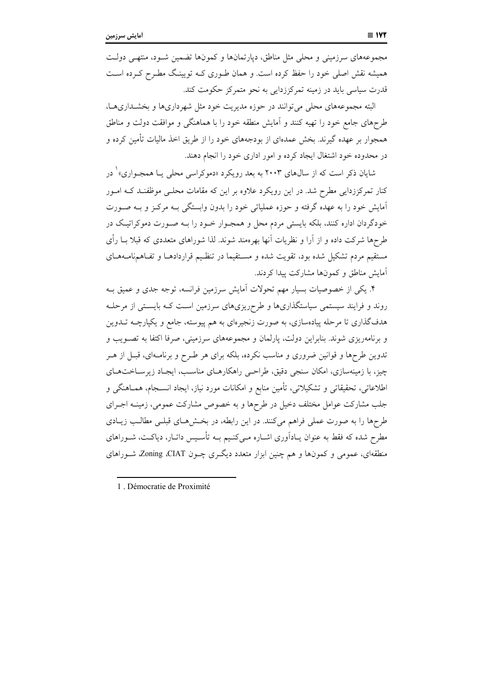مجموعههای سرزمینی و محلی مثل مناطق، دیارتمانها و کمونها تضمین شـود، منتهـی دولـت همیشه نقش اصلی خود را حفظ کرده است. و همان طـوری کـه تویینـگ مطـرح کـرده اسـت قدرت سیاسی باید در زمینه تمرکززدایی به نحو متمرکز حکومت کند.

البته مجموعههای محلی می توانند در حوزه مدیریت خود مثل شهرداریها و بخشـداریهـا، طرحهای جامع خود را تهیه کنند و آمایش منطقه خود را با هماهنگی و موافقت دولت و مناطق همجوار بر عهده گیرند. بخش عمدهای از بودجههای خود را از طریق اخذ مالیات تأمین کرده و در محدوده خود اشتغال ایجاد کرده و امور اداری خود را انجام دهند.

شایان ذکر است که از سال@ای ۲۰۰۳ به بعد رویکرد «دموکراسی محلی یـا همجـواری» ٰ در کنار تمرکززدایی مطرح شد. در این رویکرد علاوه بر این که مقامات محلبی موظفنـد کــه امــور آمایش خود را به عهده گرفته و حوزه عملیاتی خود را بدون وابستگی بـه مرکـز و بـه صـورت خودگردان اداره کنند، بلکه بایستی مردم محل و همجـوار خــود را بــه صــورت دموکراتیـک در طرحها شرکت داده و از آرا و نظریات آنها بهرهمند شوند. لذا شوراهای متعددی که قبلا بــا رأی مستقیم مردم تشکیل شده بود، تقویت شده و مستقیما در تنظیم قراردادهـا و تفـاهمنامـههـای آمایش مناطق و کمونها مشارکت پیدا کردند.

۴. یکی از خصوصیات بسیار مهم تحولات آمایش سرزمین فرانسه، توجه جدی و عمیق بـه روند و فرایند سیستمی سیاستگذاریها و طرحریزیهای سرزمین است کـه بایسـتی از مرحلـه هدفگذاری تا مرحله پیادهسازی، به صورت زنجیرهای به هم پیوسته، جامع و یکپارچــه تـــدوین و برنامهریزی شوند. بنابراین دولت، پارلمان و مجموعههای سرزمینی، صرفا اکتفا به تصـویب و تدوین طرحها و قوانین ضروری و مناسب نکرده، بلکه برای هر طـرح و برنامـهای، قبـل از هـر چیز، با زمینهسازی، امکان سنجی دقیق، طراحبی راهکارهـای مناسـب، ایجـاد زیرسـاختهـای اطلاعاتی، تحقیقاتی و تشکیلاتی، تأمین منابع و امکانات مورد نیاز، ایجاد انســجام، همــاهنگی و جلب مشارکت عوامل مختلف دخیل در طرحها و به خصوص مشارکت عمومی، زمینـه اجـرای طرحها را به صورت عملی فراهم میکنند. در این رابطه، در بخشهای قبلـی مطالـب زیـادی مطرح شده که فقط به عنوان پـادآوری اشـاره مـی کنـیم بــه تأسـیس داتـار، دیاکــت، شــوراهای منطقهای، عمومی و کمونها و هم چنین ابزار متعدد دیگری چـون Zoning ،CIAT، شـوراهای

<sup>1</sup> Démocratie de Proximité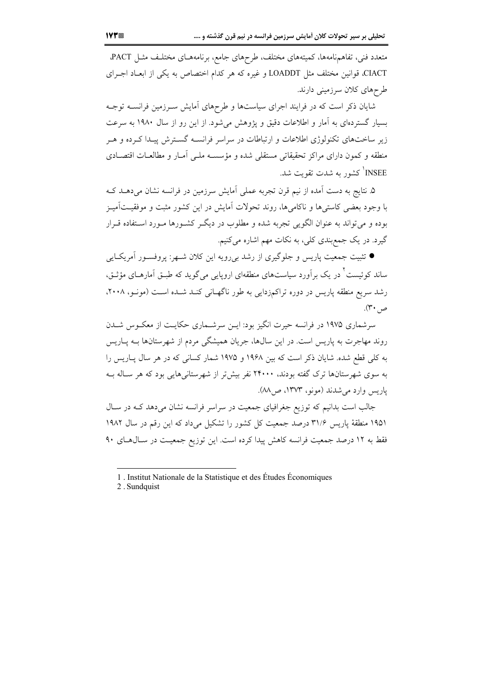متعدد فنی، تفاهمنامهها، کمیتههای مختلف، طرحهای جامع، برنامههـای مختلـف مثـل PACT. CIACT، قوانین مختلف مثل LOADDT و غیره که هر کدام اختصاص به یکی از ابعـاد اجــرای طرحهای کلان سرزمینی دارند.

شایان ذکر است که در فرایند اجرای سیاستها و طرحهای آمایش سـرزمین فرانســه توجـه بسیار گستردهای به آمار و اطلاعات دقیق و یژوهش میشود. از این رو از سال ۱۹۸۰ به سرعت زیر ساختهای تکنولوژی اطلاعات و ارتباطات در سراسر فرانسـه گسـترش پیـدا کـرده و هـر منطقه و کمون دارای مراکز تحقیقاتی مستقلی شده و مؤسسه ملـی آمـار و مطالعـات اقتصـادی INSEE کشور به شدت تقویت شد.

۵. نتایج به دست آمده از نیم قرن تجربه عملی آمایش سرزمین در فرانسه نشان میدهــد کــه با وجود بعضی کاستیها و ناکامیها، روند تحولات آمایش در این کشور مثبت و موفقیــتآمیـز بوده و می تواند به عنوان الگویی تجربه شده و مطلوب در دیگـر کشـورها مـورد اسـتفاده قـرار گیرد. در یک جمع بندی کلی، به نکات مهم اشاره می کنیم.

● تثبیت جمعیت پاریس و جلوگیری از رشد بی رویه این کلان شــهر: پروفســور آمریکــایی ساند کوئیست<sup>۲</sup> در یک بر آورد سیاستهای منطقهای اروپای<sub>ه،</sub> میگوید که طبـق اَمارهــای مؤثــق، رشد سریع منطقه پاریس در دوره تراکمزدایی به طور ناگهـانی کنـد شـده اسـت (مونـو، ۲۰۰۸، ص ۳۰).

سرشماری ۱۹۷۵ در فرانسه حیرت انگیز بود: ایــن سرشــماری حکایــت از معکــوس شــدن روند مهاجرت به پاریس است. در این سال۱ها، جریان همیشگی مردم از شهرستانها بــه پــاریس به کلی قطع شده. شایان ذکر است که بین ۱۹۶۸ و ۱۹۷۵ شمار کسانی که در هر سال پاریس را به سوی شهرستانها ترک گفته بودند، ۲۴۰۰۰ نفر بیش تر از شهرستانیهایی بود که هر سـاله بـه ياريس وارد مي شدند (مونو، ١٣٧٣، ص٨٨).

جالب است بدانیم که توزیع جغرافیای جمعیت در سراسر فرانسه نشان میدهد کـه در سـال ۱۹۵۱ منطقهٔ یاریس ۳۱/۶ درصد جمعیت کل کشور را تشکیل میداد که این رقم در سال ۱۹۸۲ فقط به ۱۲ درصد جمعیت فرانسه کاهش پیدا کرده است. این توزیع جمعیـت در سـال۵هـای ۹۰

<sup>1.</sup> Institut Nationale de la Statistique et des Études Économiques

<sup>2.</sup> Sundquist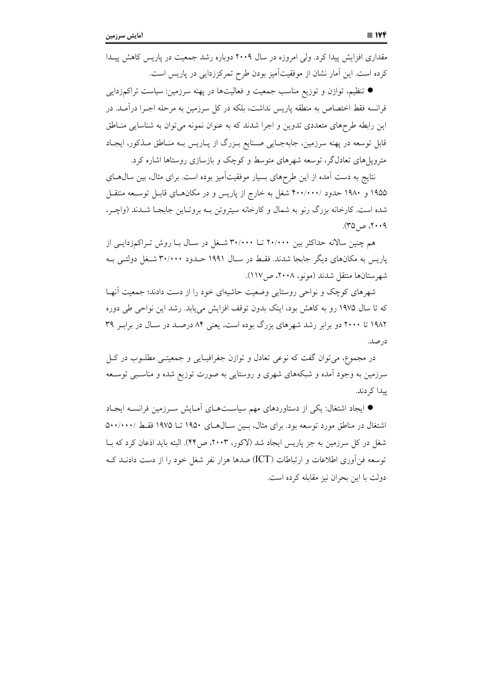مقداری افزایش پیدا کرد. ولی امروزه در سال ۲۰۰۹ دوباره رشد جمعیت در پاریس کاهش پیدا کرده است. این آمار نشان از موفقیتآمیز بودن طرح تمرکززدایی در پاریس است.

● تنظیم، توازن و توزیع مناسب جمعیت و فعالیتها در پهنه سرزمین: سیاست تراکمزدایی فرانسه فقط اختصاص به منطقه پاریس نداشت، بلکه در کل سرزمین به مرحله اجـرا درآمـد. در این رابطه طرحهای متعددی تدوین و اجرا شدند که به عنوان نمونه می توان به شناسایی منـاطق قابل توسعه در پهنه سرزمین، جابهجـایی صـنایع بـزرگ از پـاریس بـه منـاطق مـذکور، ایجـاد مترویل های تعادلگر، توسعه شهرهای متوسط و کوچک و بازسازی روستاها اشاره کرد.

نتایج به دست آمده از این طرحهای بسیار موفقیتآمیز بوده است. برای مثال، بین سال۱های ۱۹۵۵ و ۱۹۸۰ حدود /۴۰۰/۰۰۰ شغل به خارج از پاریس و در مکانهای قابـل توسـعه منتقـل شده است. کارخانه بزرگ رنو به شمال و کارخانه سیتروئن بـه بروتـاین جابجـا شــدند (واچـر، ۲۰۰۹، ص ۳۵).

هم چنین سالانه حداکثر بین ۲۰/۰۰۰ تــا ۳۰/۰۰۰ شـغل در سـال بــا روش تـراکمزدایــی از پاریس به مکانهای دیگر جابجا شدند. فقـط در سـال ۱۹۹۱ حــدود ۳۰/۰۰۰ شــغل دولتــی بــه شهرستانها منتقل شدند (مونو، ۲۰۰۸، ص۱۱۷).

شهرهای کوچک و نواحی روستایی وضعیت حاشیهای خود را از دست دادند؛ جمعیت أنهـا که تا سال ۱۹۷۵ رو به کاهش بود، اینک بدون توقف افزایش می یابد. رشد این نواحی طی دوره ۱۹۸۲ تا ۲۰۰۰ دو برابر رشد شهرهای بزرگ بوده است، یعنی ۸۴ درصـد در سـال در برابـر ۳۹ در صد.

در مجموع، مي توان گفت كه نوعي تعادل و توازن جغرافيـايي و جمعيتـي مطلــوب در كــل سرزمین به وجود آمده و شبکههای شهری و روستایی به صورت توزیع شده و مناسببی توسـعه يبدا كړ دند.

● ایجاد اشتغال: یکی از دستاوردهای مهم سیاستهای آمـایش سـرزمین فرانسـه ایجـاد اشتغال در مناطق مورد توسعه بود. برای مثال، بسین سـال هـای ۱۹۵۰ تـا ۱۹۷۵ فقـط /۰۰۰/۰۰۰ شغل در کل سرزمین به جز پاریس ایجاد شد (لاکور، ۲۰۰۳، ص۴۴). البته باید اذعان کرد که بــا توسعه فن آوري اطلاعات و ارتباطات (ICT) صدها هزار نفر شغل خود را از دست دادنــد کــه دولت با این بحران نیز مقابله کرده است.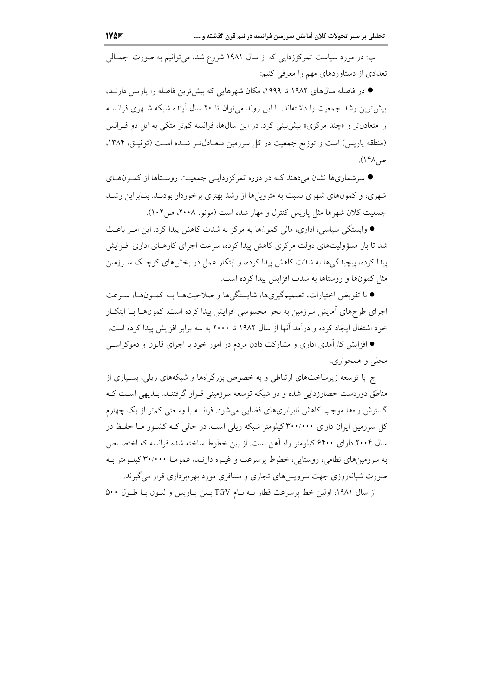ب: در مورد سیاست تمرکززدایی که از سال ۱۹۸۱ شروع شد، می توانیم به صورت اجمـالی تعدادي از دستاوردهاي مهم را معرفي كنيم:

● در فاصله سالهای ۱۹۸۲ تا ۱۹۹۹، مکان شهرهایی که بیشترین فاصله را پاریس دارنــد، بیش ترین رشد جمعیت را داشتهاند. با این روند می توان تا ۲۰ سال آینده شبکه شـهری فرانسـه را متعادلتر و «چند مرکزی» پیش بینی کرد. در این سالها، فرانسه کمتر متکی به ایل دو فـرانس (منطقه پاریس) است و توزیع جمعیت در کل سرزمین متعـادلتو شـده اسـت (توفیـق، ۱۳۸۴، ص ۱۴۸).

● سرشماریها نشان میدهند کـه در دوره تمرکززدایـی جمعیـت روسـتاها از کمـونهـای شهری، و کمونهای شهری نسبت به مترویلها از رشد بهتری برخوردار بودنـد. بنـابراین رشـد جمعیت کلان شهرها مثل پاریس کنترل و مهار شده است (مونو، ۲۰۰۸، ص۱۰۲).

● وابستگی سیاسی، اداری، مالی کمونها به مرکز به شدت کاهش پیدا کرد. این امـر باعـث شد تا بار مسؤولیتهای دولت مرکزی کاهش پیدا کرده، سرعت اجرای کارهـای اداری افـزایش پیدا کرده، پیچیدگیها به شدّت کاهش پیدا کرده، و ابتکار عمل در بخشهای کوچک ســرزمین مثل کمونها و روستاها به شدت افزایش پیدا کرده است.

● با تفويض اختيارات، تصميمگيريها، شايستگي ها و صلاحيتهــا بــه كمــونهــا، ســرعت اجرای طرحهای آمایش سرزمین به نحو محسوسی افزایش پیدا کرده است. کمونهـا بــا ابتکــار خود اشتغال ایجاد کرده و درآمد آنها از سال ۱۹۸۲ تا ۲۰۰۰ به سه برابر افزایش پیدا کرده است.

● افزایش کارآمدی اداری و مشارکت دادن مردم در امور خود با اجرای قانون و دموکراســی محلي و همجواري.

ج: با توسعه زیرساختهای ارتباطی و به خصوص بزرگراهها و شبکههای ریلی، بسیاری از مناطق دوردست حصارزدایی شده و در شبکه توسعه سرزمینی قـرار گرفتنـد. بـدیهی اسـت کـه گسترش راهها موجب کاهش نابرابریهای فضایی میشود. فرانسه با وسعتی کمتر از یک چهارم کل سرزمین ایران دارای ۳۰۰/۰۰۰ کیلومتر شبکه ریلی است. در حالی کـه کشـور مـا حفـظ در سال ۲۰۰۴ دارای ۶۴۰۰ کیلومتر راه آهن است. از بین خطوط ساخته شده فرانسه که اختصـاص به سرزمینهای نظامی، روستایی، خطوط پرسرعت و غیـره دارنـد، عمومـا ۳۰/۰۰۰ کیلـومتر بـه صورت شبانهروزی جهت سرویسهای تجاری و مسافری مورد بهرهبرداری قرار می گیرند.

از سال ۱۹۸۱، اولین خط پرسرعت قطار بـه نـام TGV بـین پـاریس و لیـون بـا طـول ۵۰۰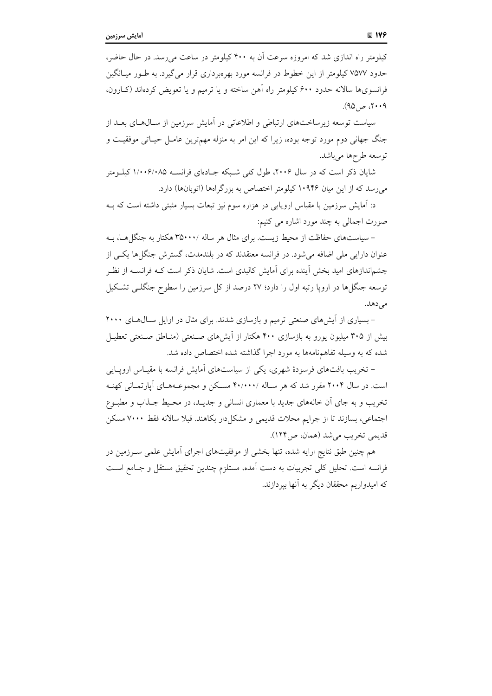کیلومتر راه اندازی شد که امروزه سرعت آن به ۴۰۰ کیلومتر در ساعت می رسد. در حال حاضر، حدود ۷۵۷۷ کیلومتر از این خطوط در فرانسه مورد بهرهبرداری قرار می گیرد. به طـور میــانگین فرانسویها سالانه حدود ۶۰۰ کیلومتر راه آهن ساخته و یا ترمیم و یا تعویض کردهاند (کیارون،  $(90, 0)$ ، ص $(90)$ .

سیاست توسعه زیرساختهای ارتباطی و اطلاعاتی در اَمایش سرزمین از سـال۱هـای بعــد از جنگ جهانی دوم مورد توجه بوده، زیرا که این امر به منزله مهمترین عامـل حیـاتی موفقیـت و توسعه طرحها ميباشد.

شایان ذکر است که در سال ۲۰۰۶، طول کلی شـبکه جـادهای فرانســه ۱/۰۰۶/۰۸۵ کیلــومتر میرسد که از این میان ۱۰۹۴۶ کیلومتر اختصاص به بزرگراهها (اتوبانها) دارد.

د: اَمایش سرزمین با مقیاس اروپایی در هزاره سوم نیز تبعات بسیار مثبتی داشته است که بــه صورت اجمالي به چند مورد اشاره مي کنيم:

– سیاستهای حفاظت از محیط زیست. برای مثال هر ساله ۳۵۰۰۰/ هکتار به جنگل هـا، بـه عنوان دارایی ملی اضافه می شود. در فرانسه معتقدند که در بلندمدت، گسترش جنگلها یکبی از چشم|ندازهای امید بخش آینده برای آمایش کالبدی است. شایان ذکر است کــه فرانســه از نظـر توسعه جنگلها در اروپا رتبه اول را دارد؛ ۲۷ درصد از کل سرزمین را سطوح جنگلبی تشکیل مے زهلہ.

- بسیاری از آیشهای صنعتی ترمیم و بازسازی شدند. برای مثال در اوایل سال های ۲۰۰۰ بیش از ۳۰۵ میلیون یورو به بازسازی ۴۰۰ هکتار از اَیشهای صنعتی (منـاطق صـنعتی تعطیـل شده که به وسیله تفاهمهنامهها به مورد اجرا گذاشته شده اختصاص داده شد.

– تخریب بافتهای فرسودهٔ شهری، یکی از سیاستهای آمایش فرانسه با مقیـاس اروپـایی است. در سال ۲۰۰۴ مقرر شد که هر سـاله /۴۰/۰۰۰ مسـکن و مجموعـههـای آپارتمـانی کهنـه تخریب و به جای آن خانههای جدید با معماری انسانی و جدیـد، در محـیط جـذاب و مطبـوع اجتماعی، بسازند تا از جرایم محلات قدیمی و مشکلدار بکاهند. قبلا سالانه فقط ۷۰۰۰ مسکن قديمي تخريب مي شد (همان، ص١٢۴).

هم چنین طبق نتایج ارایه شده، تنها بخشی از موفقیتهای اجرای أمایش علمی سـرزمین در فرانسه است. تحليل كلي تجربيات به دست آمده، مستلزم چندين تحقيق مستقل و جـامع اسـت که امیدواریم محققان دیگر به آنها بیردازند.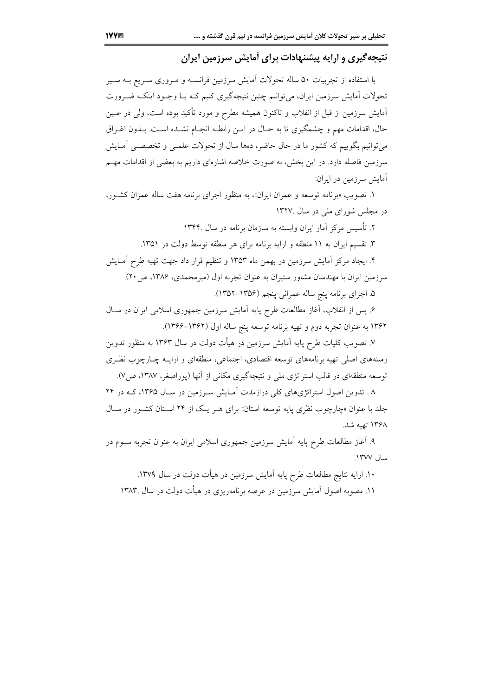نتیجهگیری و ارایه پیشنهادات برای آمایش سرزمین ایران

با استفاده از تجربیات ۵۰ ساله تحولات آمایش سرزمین فرانســه و مــروری ســریع بــه ســیر تحولات آمایش سرزمین ایران، می توانیم چنین نتیجهگیری کنیم کـه بـا وجـود اینکـه ضـرورت آمایش سرزمین از قبل از انقلاب و تاکنون همیشه مطرح و مورد تأکید بوده است، ولی در عـین حال، اقدامات مهم و چشمگیری تا به حـال در ایــن رابطـه انجـام نشــده اسـت. بــدون اغــراق می توانیم بگوییم که کشور ما در حال حاضر، دهها سال از تحولات علمبی و تخصصبی آمـایش سرزمین فاصله دارد. در این بخش، به صورت خلاصه اشارهای داریم به بعضی از اقدامات مهـم آمایش سرزمین در ایران:

۱. تصویب «برنامه توسعه و عمران ایران»، به منظور اجرای برنامه هفت ساله عمران کشور، در مجلس شورای ملی در سال ۱۳۲۷.

۲. تأسیس مرکز آمار ایران وابسته به سازمان برنامه در سال ۱۳۴۴.

۳. تقسیم ایران به ۱۱ منطقه و ارایه برنامه برای هر منطقه توسط دولت در ۱۳۵۱.

۴. ایجاد مرکز آمایش سرزمین در بهمن ماه ۱۳۵۳ و تنظیم قرار داد جهت تهیه طرح آمـایش سرزمین ایران با مهندسان مشاور ستیران به عنوان تجربه اول (میرمحمدی، ۱۳۸۶، ص۲۰).

۵. اجرای برنامه پنج ساله عمرانی پنجم (۱۳۵۶–۱۳۵۲).

۶. یس از انقلاب، آغاز مطالعات طرح پایه آمایش سرزمین جمهوری اسلامی ایران در سـال ۱۳۶۲ به عنوان تجربه دوم و تهیه برنامه توسعه پنج ساله اول (۱۳۶۲–۱۳۶۶).

۷. تصویب کلیات طرح پایه آمایش سرزمین در هیأت دولت در سال ۱۳۶۳ به منظور تدوین زمینههای اصلی تهیه برنامههای توسعه اقتصادی، اجتماعی، منطقهای و ارایــه چــارچوب نظـری توسعه منطقهای در قالب استراتژی ملی و نتیجهگیری مکانی از آنها (یوراصغر، ۱۳۸۷، ص۷).

۸ . تدوین اصول استراتژیهای کلی درازمدت آمـایش سـرزمین در سـال ۱۳۶۵، کــه در ۲۴ جلد با عنوان «چارچوب نظری پایه توسعه استان» برای هـر یـک از ۲۴ اسـتان کشـور در سـال ۱۳۶۸ تهیه شد.

۹. آغاز مطالعات طرح پایه آمایش سرزمین جمهوری اسلامی ایران به عنوان تجربه سـوم در سال ۱۳۷۷.

۱۰. ارایه نتایج مطالعات طرح پایه آمایش سرزمین در هیأت دولت در سال ۱۳۷۹.

۱۱. مصوبه اصول آمایش سرزمین در عرصه برنامهریزی در هیأت دولت در سال ۱۳۸۳.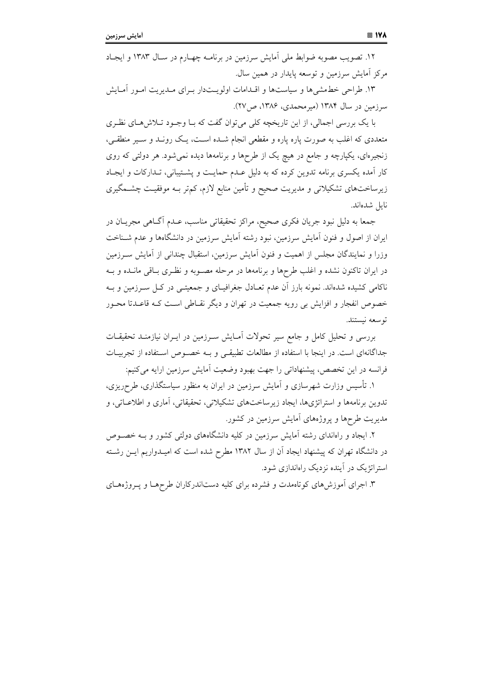۱۲. تصویب مصوبه ضوابط ملی اَمایش سرزمین در برنامـه چهـارم در سـال ۱۳۸۳ و ایجـاد مرکز آمایش سرزمین و توسعه پایدار در همین سال.

۱۳. طراحی خطمشی ها و سیاستها و اقـدامات اولویــتدار بـرای مـدیریت امـور آمـایش سرزمین در سال ۱۳۸۴ (میرمحمدی، ۱۳۸۶، ص ۲۷).

با یک بررسی اجمالی، از این تاریخچه کلی میتوان گفت که بـا وجـود تـلاش(هـای نظـری متعددی که اغلب به صورت پاره پاره و مقطعی انجام شـده اسـت، یـک رونـد و سـیر منطقـی، زنجیرهای، یکپارچه و جامع در هیچ یک از طرحها و برنامهها دیده نمیشود. هر دولتی که روی کار آمده یکسری برنامه تدوین کرده که به دلیل عـدم حمایـت و پشـتیبانی، تـدارکات و ایجـاد زیرساختهای تشکیلاتی و مدیریت صحیح و تأمین منابع لازم، کمتر بـه موفقیـت چشــمگیری نايل شدهاند.

جمعاً به دلیل نبود جریان فکری صحیح، مراکز تحقیقاتی مناسب، عـدم أگـاهی مجریــان در ایران از اصول و فنون آمایش سرزمین، نبود رشته آمایش سرزمین در دانشگاهها و عدم شـناخت وزرا و نمایندگان مجلس از اهمیت و فنون آمایش سرزمین، استقبال چندانی از آمایش سـرزمین در ایران تاکنون نشده و اغلب طرحها و برنامهها در مرحله مصـوبه و نظـری بـاقی مانــده و بــه ناکامی کشیده شدهاند. نمونه بارز آن عدم تعـادل جغرافیــای و جمعیتــی در کــل ســرزمین و بــه خصوص انفجار و افزایش بی رویه جمعیت در تهران و دیگر نقـاطی اسـت کـه قاعـدتا محـور توسعه نيستند.

بررسی و تحلیل کامل و جامع سیر تحولات آمـایش سـرزمین در ایـران نیازمنـد تحقیقـات جداگانهای است. در اینجا با استفاده از مطالعات تطبیقی و بـه خصـوص اسـتفاده از تجربیـات فرانسه در این تخصص، پیشنهاداتی را جهت بهبود وضعیت آمایش سرزمین ارایه می کنیم:

۱. تأسیس وزارت شهرسازی و آمایش سرزمین در ایران به منظور سیاستگذاری، طرحریزی، تدوین برنامهها و استراتژیها، ایجاد زیرساختهای تشکیلاتی، تحقیقاتی، آماری و اطلاعــاتی، و مدیریت طرحها و پروژههای آمایش سرزمین در کشور.

۲. ایجاد و راهاندای رشته آمایش سرزمین در کلیه دانشگاههای دولتی کشور و بـه خصـوص در دانشگاه تهران که پیشنهاد ایجاد آن از سال ۱۳۸۲ مطرح شده است که امیـدواریم ایــن رشــته استراتژیک در آینده نزدیک راهاندازی شود.

۳. اجرای آموزش های کوتاهمدت و فشرده برای کلیه دستاندرکاران طرحهـا و پـروژههـای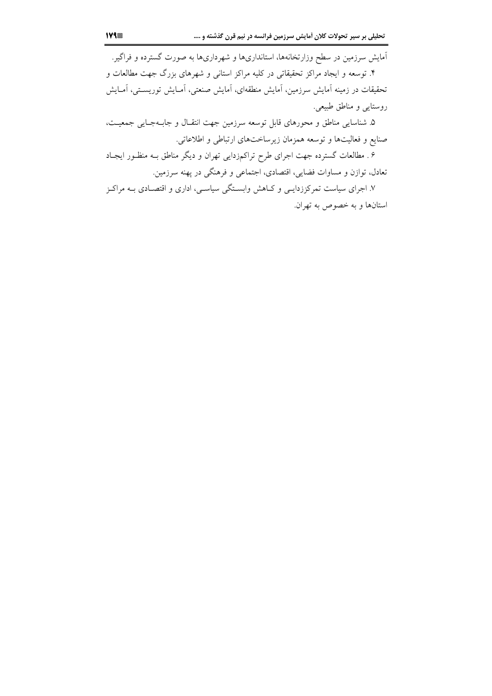آمایش سرزمین در سطح وزارتخانهها، استانداریها و شهرداریها به صورت گسترده و فراگیر. ۴. توسعه و ایجاد مراکز تحقیقاتی در کلیه مراکز استانی و شهرهای بزرگ جهت مطالعات و تحقیقات در زمینه آمایش سرزمین، آمایش منطقهای، آمایش صنعتی، آمـایش توریســتی، آمـایش روستايي و مناطق طبيعي.

۵. شناسایی مناطق و محورهای قابل توسعه سرزمین جهت انتقـال و جابـهجـایی جمعیـت، صنایع و فعالیتها و توسعه همزمان زیرساختهای ارتباطی و اطلاعاتی.

۶. مطالعات گسترده جهت اجرای طرح تراکمزدایی تهران و دیگر مناطق بـه منظـور ایجـاد تعادل، توازن و مساوات فضایی، اقتصادی، اجتماعی و فرهنگی در پهنه سرزمین.

۷. اجرای سیاست تمرکززدایــی و کــاهش وابســتگی سیاســی، اداری و اقتصــادی بــه مراکــز استانها و به خصوص به تهران.